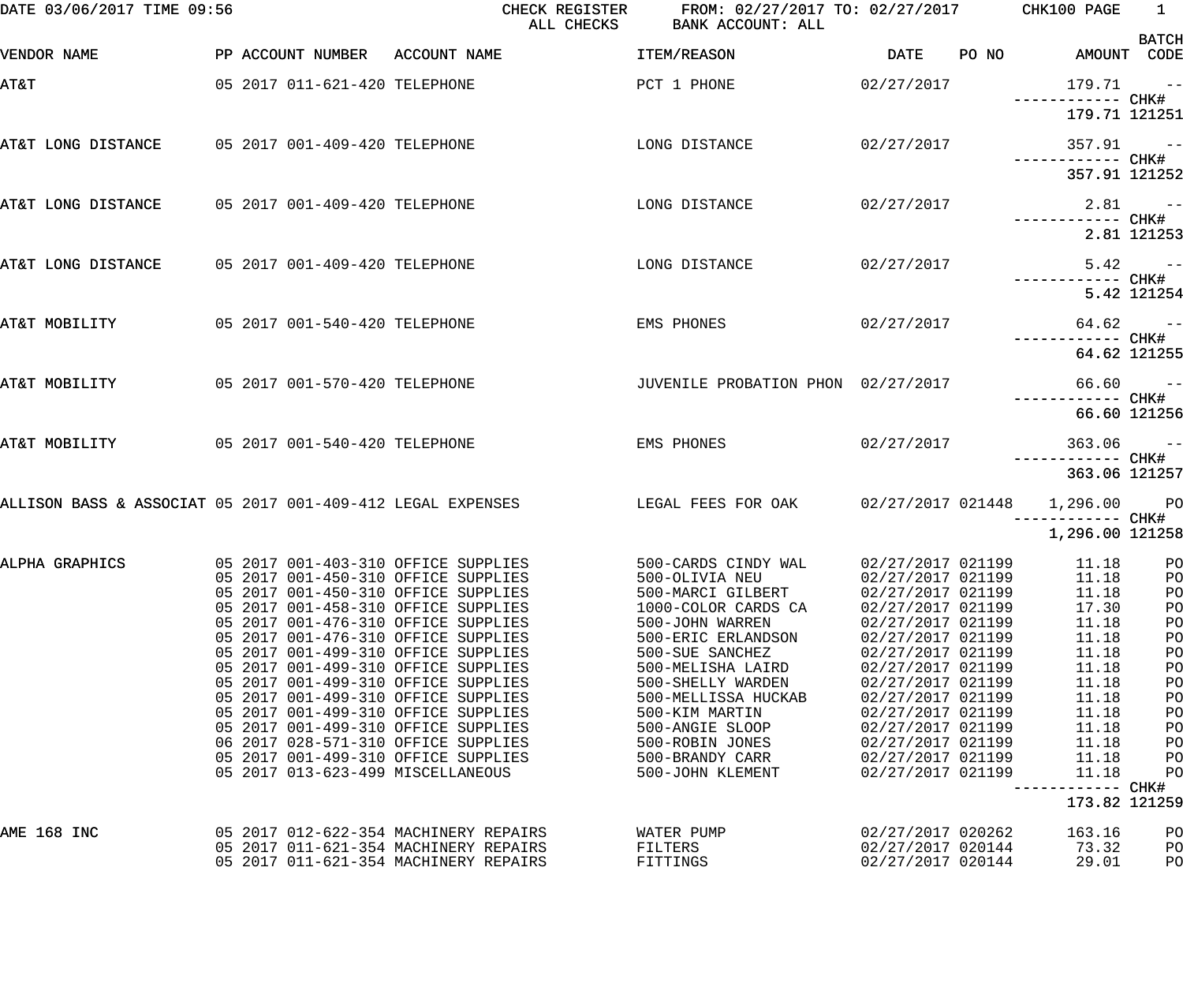| DATE 03/06/2017 TIME 09:56                                 |                                                                                | CHECK REGISTER<br>ALL CHECKS                                                                                        | FROM: 02/27/2017 TO: 02/27/2017 CHK100 PAGE<br>BANK ACCOUNT: ALL |                                        |       |                                    | $\frac{1}{2}$<br><b>BATCH</b> |
|------------------------------------------------------------|--------------------------------------------------------------------------------|---------------------------------------------------------------------------------------------------------------------|------------------------------------------------------------------|----------------------------------------|-------|------------------------------------|-------------------------------|
| VENDOR NAME                                                | PP ACCOUNT NUMBER ACCOUNT NAME                                                 |                                                                                                                     | ITEM/REASON                                                      | <b>DATE</b>                            | PO NO | AMOUNT CODE                        |                               |
| <b>AT&amp;T</b>                                            | 05 2017 011-621-420 TELEPHONE                                                  |                                                                                                                     | PCT 1 PHONE                                                      | 02/27/2017                             |       | $179.71 - -$                       |                               |
|                                                            |                                                                                |                                                                                                                     |                                                                  |                                        |       | ------------ CHK#<br>179.71 121251 |                               |
| AT&T LONG DISTANCE 05 2017 001-409-420 TELEPHONE           |                                                                                |                                                                                                                     | LONG DISTANCE                                                    | 02/27/2017                             |       | $357.91 - -$<br>------------ CHK#  |                               |
|                                                            |                                                                                |                                                                                                                     |                                                                  |                                        |       | 357.91 121252                      |                               |
| AT&T LONG DISTANCE 05 2017 001-409-420 TELEPHONE           |                                                                                |                                                                                                                     | LONG DISTANCE                                                    | 02/27/2017                             |       |                                    | $2.81 - -$                    |
|                                                            |                                                                                |                                                                                                                     |                                                                  |                                        |       |                                    | 2.81 121253                   |
| AT&T LONG DISTANCE 05 2017 001-409-420 TELEPHONE           |                                                                                |                                                                                                                     | LONG DISTANCE                                                    | 02/27/2017                             |       | ------------ CHK#                  | $5.42 - -$                    |
|                                                            |                                                                                |                                                                                                                     |                                                                  |                                        |       |                                    | 5.42 121254                   |
| AT&T MOBILITY                                              | 05 2017 001-540-420 TELEPHONE                                                  |                                                                                                                     | EMS PHONES                                                       | 02/27/2017                             |       | ------------ CHK#                  | $64.62 - -$                   |
|                                                            |                                                                                |                                                                                                                     |                                                                  |                                        |       |                                    | 64.62 121255                  |
| AT&T MOBILITY                                              | 05 2017 001-570-420 TELEPHONE                                                  |                                                                                                                     | JUVENILE PROBATION PHON 02/27/2017                               |                                        |       | ------------ CHK#                  | $66.60 - -$                   |
|                                                            |                                                                                |                                                                                                                     |                                                                  |                                        |       |                                    | 66.60 121256                  |
| AT&T MOBILITY                                              | 05 2017 001-540-420 TELEPHONE                                                  |                                                                                                                     | EMS PHONES                                                       | 02/27/2017                             |       | $363.06$ --                        |                               |
|                                                            |                                                                                |                                                                                                                     |                                                                  |                                        |       | 363.06 121257                      |                               |
| ALLISON BASS & ASSOCIAT 05 2017 001-409-412 LEGAL EXPENSES |                                                                                |                                                                                                                     | LEGAL FEES FOR OAK 02/27/2017 021448 1,296.00 PO                 |                                        |       | 1,296.00 121258                    |                               |
|                                                            |                                                                                |                                                                                                                     |                                                                  |                                        |       |                                    |                               |
|                                                            | 05 2017 001-450-310 OFFICE SUPPLIES                                            | ALPHA GRAPHICS      05 2017 001-403-310 OFFICE SUPPLIES       500-CARDS CINDY WAL   02/27/2017 021199    11.18   PO | 500-OLIVIA NEU                                                   | 02/27/2017 021199                      |       | 11.18                              | PO                            |
|                                                            | 05 2017 001-450-310 OFFICE SUPPLIES                                            |                                                                                                                     | 500-MARCI GILBERT                                                | 02/27/2017 021199                      |       | 11.18                              | PO                            |
|                                                            | 05 2017 001-458-310 OFFICE SUPPLIES                                            |                                                                                                                     | 1000-COLOR CARDS CA                                              | 02/27/2017 021199                      |       | 17.30                              | PO                            |
|                                                            | 05 2017 001-476-310 OFFICE SUPPLIES                                            |                                                                                                                     | 500-JOHN WARREN                                                  | 02/27/2017 021199                      |       | 11.18                              | PO                            |
|                                                            | 05 2017 001-476-310 OFFICE SUPPLIES                                            |                                                                                                                     | 500-ERIC ERLANDSON                                               | 02/27/2017 021199                      |       | 11.18                              | PO                            |
|                                                            | 05 2017 001-499-310 OFFICE SUPPLIES<br>05 2017 001-499-310 OFFICE SUPPLIES     |                                                                                                                     | 500-SUE SANCHEZ                                                  | 02/27/2017 021199                      |       | 11.18<br>11.18                     | PO                            |
|                                                            | 05 2017 001-499-310 OFFICE SUPPLIES                                            |                                                                                                                     | 500-MELISHA LAIRD<br>500-SHELLY WARDEN                           | 02/27/2017 021199<br>02/27/2017 021199 |       | 11.18                              | PO<br>PO                      |
|                                                            | 05 2017 001-499-310 OFFICE SUPPLIES                                            |                                                                                                                     | 500-MELLISSA HUCKAB                                              | 02/27/2017 021199                      |       | 11.18                              | PO                            |
|                                                            | 05 2017 001-499-310 OFFICE SUPPLIES                                            |                                                                                                                     | 500-KIM MARTIN                                                   | 02/27/2017 021199                      |       | 11.18                              | PO                            |
|                                                            | 05 2017 001-499-310 OFFICE SUPPLIES                                            |                                                                                                                     | 500-ANGIE SLOOP                                                  | 02/27/2017 021199                      |       | 11.18                              | PO                            |
|                                                            | 06 2017 028-571-310 OFFICE SUPPLIES                                            |                                                                                                                     | 500-ROBIN JONES                                                  | 02/27/2017 021199                      |       | 11.18                              | PO                            |
|                                                            | 05 2017 001-499-310 OFFICE SUPPLIES                                            |                                                                                                                     | 500-BRANDY CARR                                                  | 02/27/2017 021199                      |       | 11.18                              | PO                            |
|                                                            | 05 2017 013-623-499 MISCELLANEOUS                                              |                                                                                                                     | 500-JOHN KLEMENT                                                 | 02/27/2017 021199                      |       | 11.18                              | PO                            |
|                                                            |                                                                                |                                                                                                                     |                                                                  |                                        |       | 173.82 121259                      |                               |
| AME 168 INC                                                | 05 2017 012-622-354 MACHINERY REPAIRS                                          |                                                                                                                     | WATER PUMP                                                       | 02/27/2017 020262                      |       | 163.16                             | PO                            |
|                                                            | 05 2017 011-621-354 MACHINERY REPAIRS<br>05 2017 011-621-354 MACHINERY REPAIRS |                                                                                                                     | FILTERS                                                          | 02/27/2017 020144<br>02/27/2017 020144 |       | 73.32                              | P <sub>O</sub>                |
|                                                            |                                                                                |                                                                                                                     | FITTINGS                                                         |                                        |       | 29.01                              | PO                            |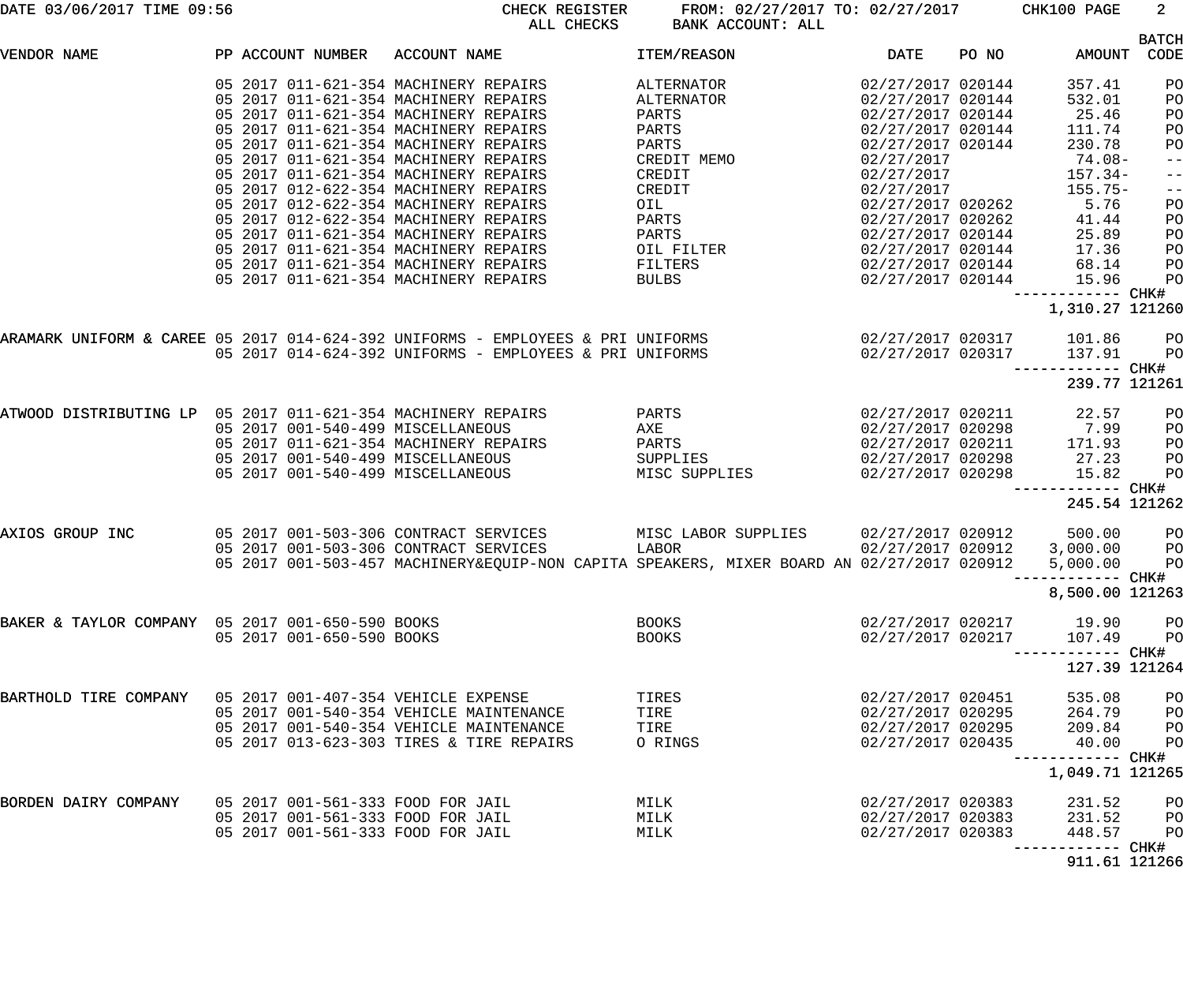| DATE 03/06/2017 TIME 09:56 |  |  |  |  |  |
|----------------------------|--|--|--|--|--|
|----------------------------|--|--|--|--|--|

DATE 03/06/2017 TIME 09:56 CHECK REGISTER FROM: 02/27/2017 TO: 02/27/2017 CHK100 PAGE 2 ALL CHECKS BANK ACCOUNT: ALL

|                                                              |  |                                                                                                                                                                                                                                                                                             |                                                                        |                                                                                                                                                                                                            |                                                                                                                                   |       |                                                                               | <b>BATCH</b>                                                   |
|--------------------------------------------------------------|--|---------------------------------------------------------------------------------------------------------------------------------------------------------------------------------------------------------------------------------------------------------------------------------------------|------------------------------------------------------------------------|------------------------------------------------------------------------------------------------------------------------------------------------------------------------------------------------------------|-----------------------------------------------------------------------------------------------------------------------------------|-------|-------------------------------------------------------------------------------|----------------------------------------------------------------|
| VENDOR NAME                                                  |  | PP ACCOUNT NUMBER ACCOUNT NAME                                                                                                                                                                                                                                                              |                                                                        | ITEM/REASON                                                                                                                                                                                                | DATE                                                                                                                              | PO NO |                                                                               | AMOUNT CODE                                                    |
|                                                              |  | 05 2017 011-621-354 MACHINERY REPAIRS<br>05 2017 011-621-354 MACHINERY REPAIRS<br>05 2017 011-621-354 MACHINERY REPAIRS<br>05 2017 011-621-354 MACHINERY REPAIRS<br>05 2017 011-621-354 MACHINERY REPAIRS<br>05 2017 011-621-354 MACHINERY REPAIRS<br>05 2017 011-621-354 MACHINERY REPAIRS |                                                                        | ALTERNATOR<br>ALTERNATOR<br>PARTS<br>PARTS<br>PARTS<br>CREDIT MEMO<br>CREDIT                                                                                                                               | 02/27/2017 020144<br>02/27/2017 020144<br>02/27/2017 020144<br>02/27/2017 020144<br>02/27/2017 020144<br>02/27/2017<br>02/27/2017 |       | 357.41<br>532.01<br>25.46<br>111.74<br>230.78<br>$74.08 -$<br>$157.34-$       | P <sub>O</sub><br>PO<br>PO<br>PO<br>PO<br>$- -$<br>$-\:\:-$    |
|                                                              |  | 05 2017 012-622-354 MACHINERY REPAIRS<br>05 2017 012-622-354 MACHINERY REPAIRS<br>05 2017 012-622-354 MACHINERY REPAIRS<br>05 2017 011-621-354 MACHINERY REPAIRS<br>05 2017 011-621-354 MACHINERY REPAIRS<br>05 2017 011-621-354 MACHINERY REPAIRS                                          |                                                                        | CREDIT<br>OIL AND RESIDENCE ON A STREET<br>PARTS<br>PARTS<br>OIL FILTER THE STATE OF THE STATE OF THE STATE OF THE STATE OF THE STATE OF THE STATE OF THE STATE OF THE STATE<br>FILTERS                    | 02/27/2017<br>02/27/2017 020262<br>02/27/2017 020262<br>02/27/2017 020144<br>02/27/2017 020144<br>02/27/2017 020144               |       | 155.75-<br>5.76<br>41.44<br>25.89<br>17.36<br>68.14<br>15.96                  | $-\:\:-$<br>PO<br>PO<br>PO<br>PO<br>PO<br>PO                   |
|                                                              |  | 05 2017 011-621-354 MACHINERY REPAIRS                                                                                                                                                                                                                                                       |                                                                        | BULBS AND RESIDENCE AND RESIDENCE AND RESIDENCE AND RESIDENCE AND RESIDENCE AND RESIDENCE AND RESIDENCE AND RE                                                                                             | 02/27/2017 020144                                                                                                                 |       | ----------- CHK#<br>1,310.27 121260                                           |                                                                |
|                                                              |  |                                                                                                                                                                                                                                                                                             | 05 2017 014-624-392 UNIFORMS - EMPLOYEES & PRI UNIFORMS                | ARAMARK UNIFORM & CAREE 05 2017 014-624-392 UNIFORMS - EMPLOYEES & PRI UNIFORMS                     02/27/2017 020317      101.86     PO                                                                   |                                                                                                                                   |       | 02/27/2017 020317 137.91<br>----------- CHK#<br>239.77 121261                 | PO                                                             |
| ATWOOD DISTRIBUTING LP 05 2017 011-621-354 MACHINERY REPAIRS |  | 05 2017 001-540-499 MISCELLANEOUS                                                                                                                                                                                                                                                           | 05 2017 001-540-499 MISCELLANEOUS<br>05 2017 001-540-499 MISCELLANEOUS | <b>PARTS</b><br>AXE AREA AND THE STATE OF THE STATE OF THE STATE OF THE STATE OF THE STATE OF THE STATE OF THE STATE OF THE ST<br>05 2017 011-621-354 MACHINERY REPAIRS PARTS<br>SUPPLIES<br>MISC SUPPLIES | 02/27/2017 020211<br>02/27/2017 020298<br>02/27/2017 020298                                                                       |       | 22.57<br>02/27/2017 020298 7.99<br>02/27/2017 020211 171.93<br>27.23<br>15.82 | P <sub>O</sub><br>P <sub>O</sub><br>P <sub>O</sub><br>PO<br>PO |
|                                                              |  |                                                                                                                                                                                                                                                                                             |                                                                        |                                                                                                                                                                                                            |                                                                                                                                   |       | -----------<br>245.54 121262                                                  | $--$ CHK#                                                      |
| AXIOS GROUP INC                                              |  | 05 2017 001-503-306 CONTRACT SERVICES                                                                                                                                                                                                                                                       | 05 2017 001-503-306 CONTRACT SERVICES                                  | MISC LABOR SUPPLIES 02/27/2017 020912<br>LABOR<br>05 2017 001-503-457 MACHINERY&EQUIP-NON CAPITA SPEAKERS, MIXER BOARD AN 02/27/2017 020912                                                                |                                                                                                                                   |       | 500.00<br>02/27/2017 020912 3,000.00 PO<br>5,000.00<br>----------- CHK#       | PO<br>PO                                                       |
|                                                              |  |                                                                                                                                                                                                                                                                                             |                                                                        |                                                                                                                                                                                                            |                                                                                                                                   |       | 8,500.00 121263                                                               |                                                                |
| BAKER & TAYLOR COMPANY 05 2017 001-650-590 BOOKS             |  | 05 2017 001-650-590 BOOKS                                                                                                                                                                                                                                                                   |                                                                        | <b>BOOKS</b><br><b>BOOKS</b>                                                                                                                                                                               | 02/27/2017 020217<br>02/27/2017 020217                                                                                            |       | 19.90<br>107.49<br>------------ CHK#                                          | PO<br>PO                                                       |
|                                                              |  |                                                                                                                                                                                                                                                                                             |                                                                        |                                                                                                                                                                                                            |                                                                                                                                   |       | 127.39 121264                                                                 |                                                                |
| BARTHOLD TIRE COMPANY                                        |  | 05 2017 001-407-354 VEHICLE EXPENSE<br>05 2017 001-540-354 VEHICLE MAINTENANCE<br>05 2017 001-540-354 VEHICLE MAINTENANCE<br>05 2017 013-623-303 TIRES & TIRE REPAIRS                                                                                                                       |                                                                        | TIRES<br>TIRE<br>TIRE<br>O RINGS                                                                                                                                                                           | 02/27/2017 020451<br>02/27/2017 020295<br>02/27/2017 020295<br>02/27/2017 020435                                                  |       | 535.08<br>264.79<br>209.84<br>40.00<br>--------- CHK#                         | PO<br>P <sub>O</sub><br>PO<br>PO                               |
|                                                              |  |                                                                                                                                                                                                                                                                                             |                                                                        |                                                                                                                                                                                                            |                                                                                                                                   |       | 1,049.71 121265                                                               |                                                                |
| BORDEN DAIRY COMPANY                                         |  | 05 2017 001-561-333 FOOD FOR JAIL<br>05 2017 001-561-333 FOOD FOR JAIL<br>05 2017 001-561-333 FOOD FOR JAIL                                                                                                                                                                                 |                                                                        | MILK<br>MILK<br>MILK                                                                                                                                                                                       | 02/27/2017 020383<br>02/27/2017 020383<br>02/27/2017 020383                                                                       |       | 231.52<br>231.52<br>448.57<br>------- CHK#                                    | PO<br>PO<br>PO                                                 |
|                                                              |  |                                                                                                                                                                                                                                                                                             |                                                                        |                                                                                                                                                                                                            |                                                                                                                                   |       | 911.61 121266                                                                 |                                                                |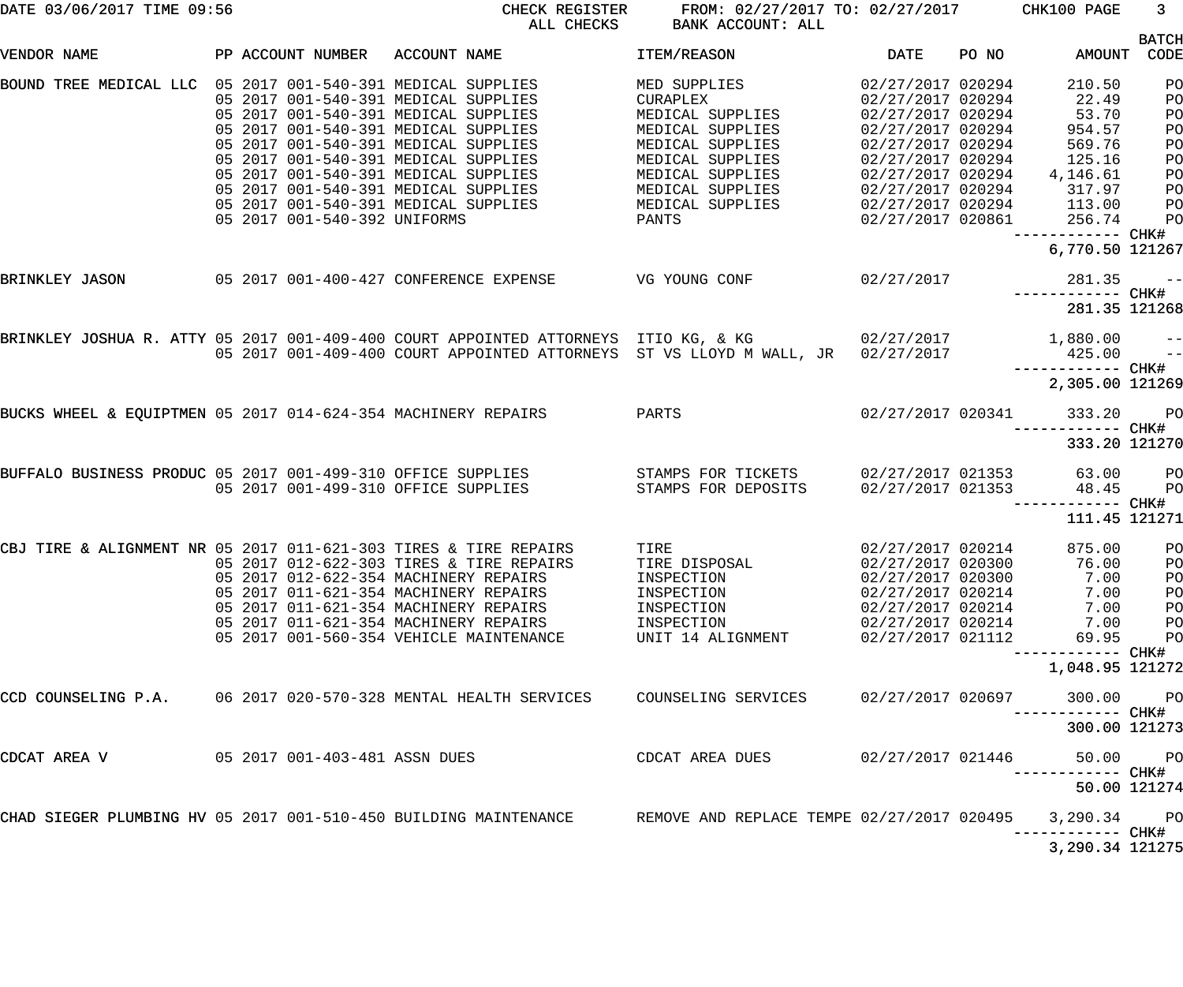| DATE 03/06/2017 TIME 09:56                                          |  |                                                                                                                                                                                                                                                                                                                                                              | CHECK REGISTER<br>ALL CHECKS<br>BANK ACCOUNT: ALL |                                                                                                                                                                                                                                                                                      | FROM: 02/27/2017 TO: 02/27/2017 CHK100 PAGE                                                                                                     |  |                                                                                                                      | 3 <sup>7</sup>                                                       |
|---------------------------------------------------------------------|--|--------------------------------------------------------------------------------------------------------------------------------------------------------------------------------------------------------------------------------------------------------------------------------------------------------------------------------------------------------------|---------------------------------------------------|--------------------------------------------------------------------------------------------------------------------------------------------------------------------------------------------------------------------------------------------------------------------------------------|-------------------------------------------------------------------------------------------------------------------------------------------------|--|----------------------------------------------------------------------------------------------------------------------|----------------------------------------------------------------------|
| VENDOR NAME                                                         |  |                                                                                                                                                                                                                                                                                                                                                              | PP ACCOUNT NUMBER ACCOUNT NAME                    | <b>DATE</b><br><b>ITEM/REASON</b>                                                                                                                                                                                                                                                    |                                                                                                                                                 |  | PO NO AMOUNT                                                                                                         | <b>BATCH</b><br>CODE                                                 |
| BOUND TREE MEDICAL LLC 05 2017 001-540-391 MEDICAL SUPPLIES         |  | 05 2017 001-540-391 MEDICAL SUPPLIES<br>05 2017 001-540-391 MEDICAL SUPPLIES<br>05 2017 001-540-391 MEDICAL SUPPLIES<br>05 2017 001-540-391 MEDICAL SUPPLIES<br>05 2017 001-540-391 MEDICAL SUPPLIES<br>05 2017 001-540-391 MEDICAL SUPPLIES<br>05 2017 001-540-391 MEDICAL SUPPLIES<br>05 2017 001-540-391 MEDICAL SUPPLIES<br>05 2017 001-540-392 UNIFORMS |                                                   | MED SUPPLIES 02/27/2017 020294<br>CURAPLEX<br>MEDICAL SUPPLIES<br>CURAPLEX<br>MEDICAL SUPPLIES<br>MEDICAL SUPPLIES<br>MEDICAL SUPPLIES<br>MEDICAL SUPPLIES<br>MEDICAL SUPPLIES 02/27/2017 020294<br>MEDICAL SUPPLIES 02/27/2017 020294 113.00<br>$02/27/2017$ 020861 256.74<br>PANTS | 02/27/2017 020294<br>02/27/2017 020294<br>02/27/2017 020294<br>02/27/2017 020294<br>02/27/2017 020294<br>02/27/2017 020294                      |  | 210.50<br>22.49<br>53.70<br>954.57<br>569.76<br>125.16<br>4,146.61<br>317.97<br>------------ CHK#<br>6,770.50 121267 | PO<br>PO<br>PO<br>PO<br>PO<br>PO<br>PO<br>PO<br>PO<br>P <sub>O</sub> |
| BRINKLEY JASON                                                      |  |                                                                                                                                                                                                                                                                                                                                                              |                                                   | 05 2017 001-400-427 CONFERENCE EXPENSE VG YOUNG CONF 02/27/2017 281.35                                                                                                                                                                                                               |                                                                                                                                                 |  | ------------ CHK#<br>281.35 121268                                                                                   | $ -$                                                                 |
|                                                                     |  |                                                                                                                                                                                                                                                                                                                                                              |                                                   | BRINKLEY JOSHUA R. ATTY 05 2017 001-409-400 COURT APPOINTED ATTORNEYS ITIO KG, & KG $02/27/2017$ 1,880.00 --<br>05 2017 001-409-400 COURT APPOINTED ATTORNEYS ST VS LLOYD M WALL, JR 02/27/2017                                                                                      |                                                                                                                                                 |  | $425.00$ --<br>2,305.00 121269                                                                                       |                                                                      |
| BUCKS WHEEL & EQUIPTMEN 05 2017 014-624-354 MACHINERY REPAIRS PARTS |  |                                                                                                                                                                                                                                                                                                                                                              |                                                   |                                                                                                                                                                                                                                                                                      |                                                                                                                                                 |  | 02/27/2017 020341 333.20 PO<br>------------ CHK#<br>333.20 121270                                                    |                                                                      |
|                                                                     |  |                                                                                                                                                                                                                                                                                                                                                              |                                                   | BUFFALO BUSINESS PRODUC 05 2017 001-499-310 OFFICE SUPPLIES STAMPS FOR TICKETS 02/27/2017 021353 63.00<br>05 2017 001-499-310 OFFICE SUPPLIES STAMPS FOR DEPOSITS                                                                                                                    |                                                                                                                                                 |  | 02/27/2017 021353 48.45<br>------------ CHK#<br>111.45 121271                                                        | <b>PO</b><br>P <sub>O</sub>                                          |
| CBJ TIRE & ALIGNMENT NR 05 2017 011-621-303 TIRES & TIRE REPAIRS    |  | 05 2017 012-622-354 MACHINERY REPAIRS<br>05 2017 011-621-354 MACHINERY REPAIRS<br>05 2017 011-621-354 MACHINERY REPAIRS<br>05 2017 011-621-354 MACHINERY REPAIRS<br>05 2017 001-560-354 VEHICLE MAINTENANCE                                                                                                                                                  | 05 2017 012-622-303 TIRES & TIRE REPAIRS          | TIRE<br>TIRE DISPOSAL<br>INSPECTION<br>INSPECTION<br>INSPECTION<br>INSPECTION<br>UNIT 14 ALIGNMENT                                                                                                                                                                                   | 02/27/2017 020214<br>02/27/2017 020300<br>02/27/2017 020300<br>02/27/2017 020214<br>02/27/2017 020214<br>02/27/2017 020214<br>02/27/2017 021112 |  | 875.00<br>76.00 PO<br>7.00<br>7.00<br>7.00<br>7.00<br>69.95<br>-----------                                           | $P$ O<br>PO<br>PO<br>PO<br>PO<br>PO<br>CHK#                          |
| CCD COUNSELING P.A.                                                 |  |                                                                                                                                                                                                                                                                                                                                                              | 06 2017 020-570-328 MENTAL HEALTH SERVICES        | COUNSELING SERVICES                                                                                                                                                                                                                                                                  | 02/27/2017 020697                                                                                                                               |  | 1,048.95 121272<br>300.00<br>------- CHK#                                                                            | P <sub>O</sub>                                                       |
| CDCAT AREA V                                                        |  | 05 2017 001-403-481 ASSN DUES                                                                                                                                                                                                                                                                                                                                |                                                   | CDCAT AREA DUES                                                                                                                                                                                                                                                                      | 02/27/2017 021446                                                                                                                               |  | 300.00 121273<br>50.00                                                                                               | P <sub>O</sub>                                                       |
| CHAD SIEGER PLUMBING HV 05 2017 001-510-450 BUILDING MAINTENANCE    |  |                                                                                                                                                                                                                                                                                                                                                              |                                                   | REMOVE AND REPLACE TEMPE 02/27/2017 020495                                                                                                                                                                                                                                           |                                                                                                                                                 |  | 50.00 121274<br>3,290.34<br>--------- CHK#                                                                           | P <sub>O</sub>                                                       |
|                                                                     |  |                                                                                                                                                                                                                                                                                                                                                              |                                                   |                                                                                                                                                                                                                                                                                      |                                                                                                                                                 |  | 3,290.34 121275                                                                                                      |                                                                      |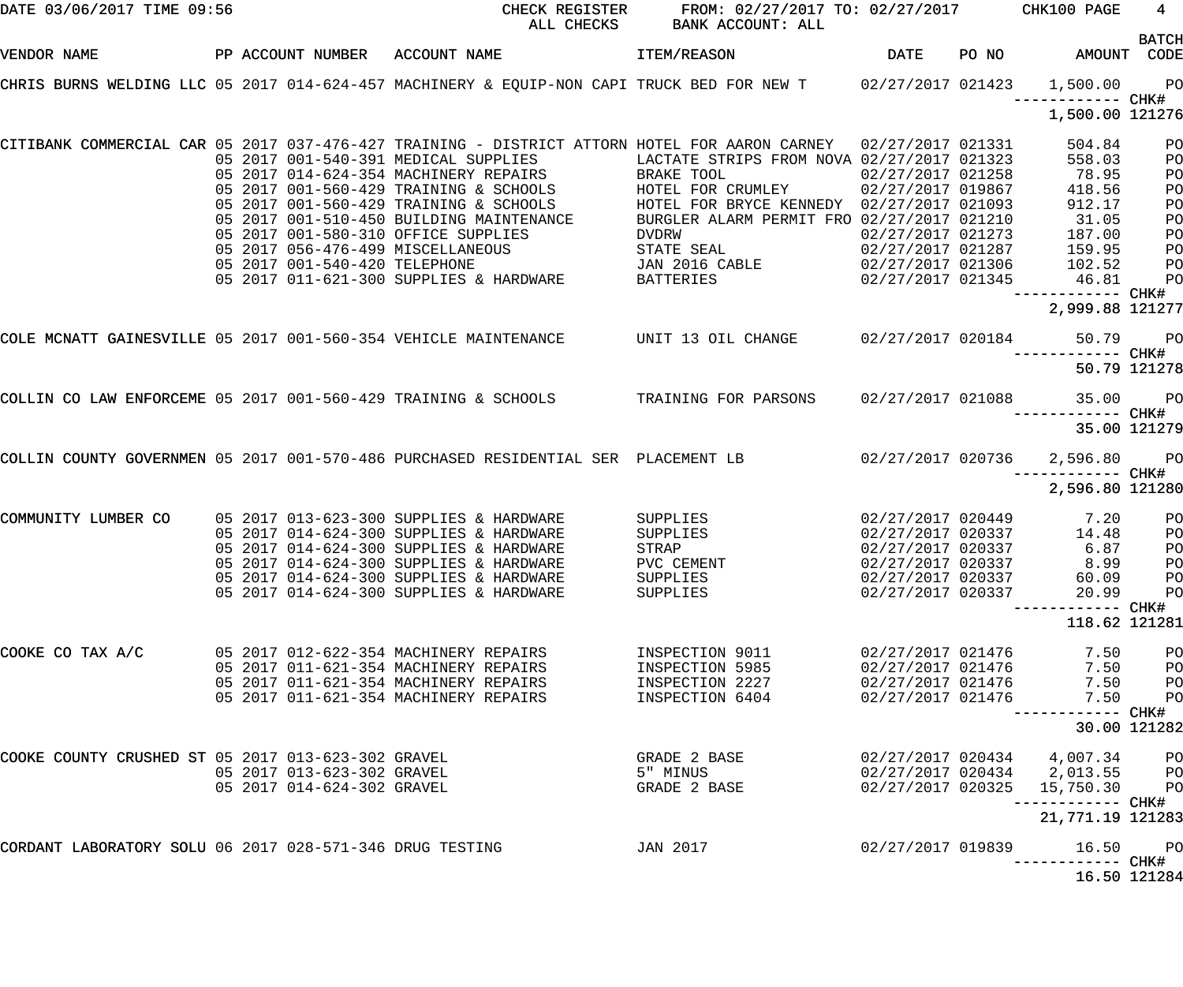| DATE 03/06/2017 TIME 09:56                               |  |                            | CHECK REGISTER<br>ALL CHECKS                                                                                                                                                 | FROM: 02/27/2017 TO: 02/27/2017 CHK100 PAGE<br>BANK ACCOUNT: ALL |                   |                                              | $4\overline{ }$ |
|----------------------------------------------------------|--|----------------------------|------------------------------------------------------------------------------------------------------------------------------------------------------------------------------|------------------------------------------------------------------|-------------------|----------------------------------------------|-----------------|
| VENDOR NAME                                              |  |                            | PP ACCOUNT NUMBER ACCOUNT NAME THEM/REASON                                                                                                                                   |                                                                  |                   | DATE PO NO AMOUNT CODE                       | <b>BATCH</b>    |
|                                                          |  |                            | CHRIS BURNS WELDING LLC 05 2017 014-624-457 MACHINERY & EQUIP-NON CAPI TRUCK BED FOR NEW T 02/27/2017 021423 1,500.00                                                        |                                                                  |                   | ------------ CHK#                            | PO <sub>1</sub> |
|                                                          |  |                            |                                                                                                                                                                              |                                                                  |                   | 1,500.00 121276                              |                 |
|                                                          |  |                            | CITIBANK COMMERCIAL CAR 05 2017 037-476-427 TRAINING - DISTRICT ATTORN HOTEL FOR AARON CARNEY 02/27/2017 021331                                                              | LACTATE STRIPS FROM NOVA 02/27/2017 021323                       |                   | 504.84<br>558.03                             | PO<br>PO        |
|                                                          |  |                            | 05 2017 001-540-391 MEDICAL SUPPLIES                 LACTATE STR<br>05 2017 014-624-354 MACHINERY REPAIRS                    BRAKE TOOL                                      |                                                                  | 02/27/2017 021258 | 78.95                                        | PO              |
|                                                          |  |                            | 05 2017 001-560-429 TRAINING & SCHOOLS 6 HOTEL FOR CRUMLEY 62/27/2017 019867                                                                                                 |                                                                  |                   | 418.56                                       | PO              |
|                                                          |  |                            | 05 2017 001-560-429 TRAINING & SCHOOLS                                                                                                                                       | HOTEL FOR BRYCE KENNEDY 02/27/2017 021093                        |                   | 912.17                                       | PO              |
|                                                          |  |                            | 05 2017 001-510-450 BUILDING MAINTENANCE                                                                                                                                     | BURGLER ALARM PERMIT FRO 02/27/2017 021210                       |                   |                                              |                 |
|                                                          |  |                            |                                                                                                                                                                              |                                                                  |                   | 31.05                                        | PO              |
|                                                          |  |                            | 05 2017 001-580-310 OFFICE SUPPLIES                                                                                                                                          | DVDRW                                                            | 02/27/2017 021273 | 187.00                                       | PO              |
|                                                          |  |                            |                                                                                                                                                                              |                                                                  |                   |                                              | PO              |
|                                                          |  |                            |                                                                                                                                                                              |                                                                  |                   |                                              | PO              |
|                                                          |  |                            | 02/27/2017 021287 159.95<br>02/27/2017 021287 159.95 169.95 STATE SEAL 02/27/2017 021287 159.95<br>05 2017 011-621-300 SUPPLIES & HARDWARE BATTERIES 02/27/2017 021345 46.81 |                                                                  |                   | ------------ CHK#                            | PO              |
|                                                          |  |                            |                                                                                                                                                                              |                                                                  |                   | 2,999.88 121277                              |                 |
|                                                          |  |                            | COLE MCNATT GAINESVILLE 05 2017 001-560-354 VEHICLE MAINTENANCE WIT 13 OIL CHANGE 02/27/2017 020184 50.79                                                                    |                                                                  |                   |                                              | PO <sub>1</sub> |
|                                                          |  |                            |                                                                                                                                                                              |                                                                  |                   | ------------ CHK#<br>50.79 121278            |                 |
|                                                          |  |                            | COLLIN CO LAW ENFORCEME 05 2017 001-560-429 TRAINING & SCHOOLS TRAINING FOR PARSONS                                                                                          |                                                                  |                   | 02/27/2017 021088 35.00<br>------------ CHK# | PO <sub>1</sub> |
|                                                          |  |                            |                                                                                                                                                                              |                                                                  |                   |                                              | 35.00 121279    |
|                                                          |  |                            | COLLIN COUNTY GOVERNMEN 05 2017 001-570-486 PURCHASED RESIDENTIAL SER PLACEMENT LB 02/27/2017 020736 2,596.80                                                                |                                                                  |                   |                                              | <b>PO</b>       |
|                                                          |  |                            |                                                                                                                                                                              |                                                                  |                   | 2,596.80 121280                              |                 |
| COMMUNITY LUMBER CO                                      |  |                            | 05 2017 013-623-300 SUPPLIES & HARDWARE                                                                                                                                      | SUPPLIES 02/27/2017 020449                                       |                   | 7.20                                         | P <sub>O</sub>  |
|                                                          |  |                            | 05 2017 014-624-300 SUPPLIES & HARDWARE                                                                                                                                      | SUPPLIES                                                         |                   | 02/27/2017 020337 14.48                      | P <sub>O</sub>  |
|                                                          |  |                            | 05 2017 014-624-300 SUPPLIES & HARDWARE                                                                                                                                      | STRAP                                                            | 02/27/2017 020337 | 6.87                                         | PO              |
|                                                          |  |                            | 05 2017 014-624-300 SUPPLIES & HARDWARE                                                                                                                                      | PVC CEMENT                                                       | 02/27/2017 020337 | 8.99                                         | P <sub>O</sub>  |
|                                                          |  |                            | 05 2017 014-624-300 SUPPLIES & HARDWARE                                                                                                                                      | SUPPLIES                                                         | 02/27/2017 020337 | 60.09                                        | PО              |
|                                                          |  |                            | 05 2017 014-624-300 SUPPLIES & HARDWARE                                                                                                                                      | SUPPLIES                                                         | 02/27/2017 020337 | 20.99                                        | P <sub>O</sub>  |
|                                                          |  |                            |                                                                                                                                                                              |                                                                  |                   |                                              |                 |
|                                                          |  |                            |                                                                                                                                                                              |                                                                  |                   | 118.62 121281                                |                 |
| COOKE CO TAX A/C                                         |  |                            | 05 2017 012-622-354 MACHINERY REPAIRS                                                                                                                                        | INSPECTION 9011                                                  | 02/27/2017 021476 | 7.50                                         | PO              |
|                                                          |  |                            | 05 2017 011-621-354 MACHINERY REPAIRS                                                                                                                                        | INSPECTION 5985                                                  | 02/27/2017 021476 | 7.50                                         | PO              |
|                                                          |  |                            | 05 2017 011-621-354 MACHINERY REPAIRS                                                                                                                                        | INSPECTION 2227                                                  | 02/27/2017 021476 | 7.50                                         | PO              |
|                                                          |  |                            | 05 2017 011-621-354 MACHINERY REPAIRS                                                                                                                                        | INSPECTION 6404                                                  | 02/27/2017 021476 | 7.50                                         | PO              |
|                                                          |  |                            |                                                                                                                                                                              |                                                                  |                   |                                              | 30.00 121282    |
| COOKE COUNTY CRUSHED ST 05 2017 013-623-302 GRAVEL       |  |                            |                                                                                                                                                                              | GRADE 2 BASE                                                     |                   | 02/27/2017 020434 4,007.34                   | P <sub>O</sub>  |
|                                                          |  | 05 2017 013-623-302 GRAVEL |                                                                                                                                                                              | 5" MINUS                                                         |                   | 02/27/2017 020434 2,013.55                   | P <sub>O</sub>  |
|                                                          |  | 05 2017 014-624-302 GRAVEL |                                                                                                                                                                              | GRADE 2 BASE                                                     | 02/27/2017 020325 | 15,750.30                                    | P <sub>O</sub>  |
|                                                          |  |                            |                                                                                                                                                                              |                                                                  |                   | 21, 771.19 121283                            |                 |
| CORDANT LABORATORY SOLU 06 2017 028-571-346 DRUG TESTING |  |                            |                                                                                                                                                                              | JAN 2017                                                         | 02/27/2017 019839 | 16.50                                        | P <sub>O</sub>  |
|                                                          |  |                            |                                                                                                                                                                              |                                                                  |                   | 16.50 121284                                 |                 |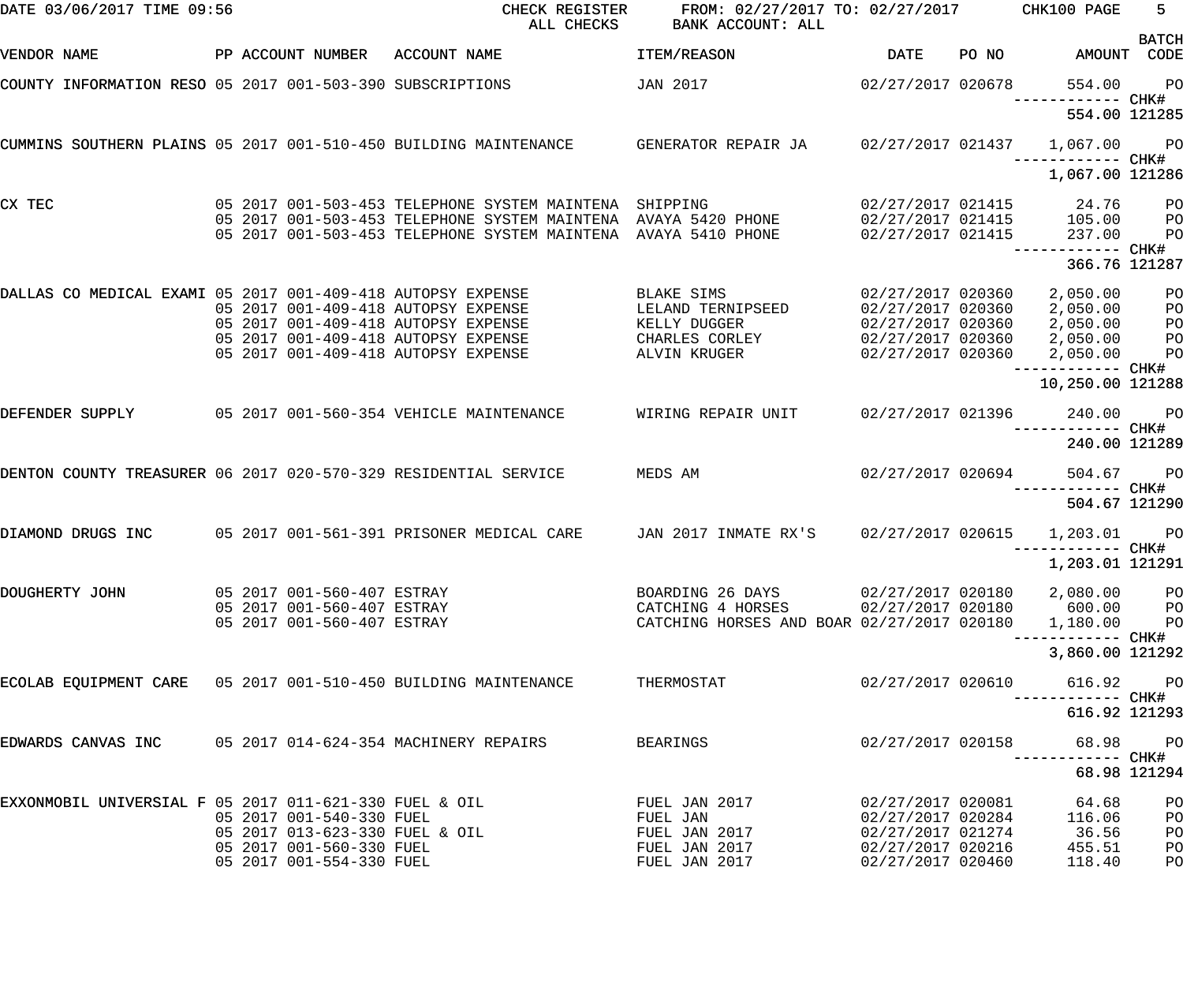| DATE 03/06/2017 TIME 09:56                                      |                                                            | CHECK REGISTER<br>ALL CHECKS                                                                                             | FROM: 02/27/2017 TO: 02/27/2017 CHK100 PAGE<br>BANK ACCOUNT: ALL                         |                                        |       |                                                     | $5 -$                            |
|-----------------------------------------------------------------|------------------------------------------------------------|--------------------------------------------------------------------------------------------------------------------------|------------------------------------------------------------------------------------------|----------------------------------------|-------|-----------------------------------------------------|----------------------------------|
| VENDOR NAME                                                     | PP ACCOUNT NUMBER ACCOUNT NAME                             |                                                                                                                          | ITEM/REASON                                                                              | DATE                                   | PO NO | AMOUNT                                              | <b>BATCH</b><br>CODE             |
| COUNTY INFORMATION RESO 05 2017 001-503-390 SUBSCRIPTIONS       |                                                            |                                                                                                                          | JAN 2017                                                                                 | 02/27/2017 020678                      |       | 554.00<br>------------ CHK#                         | $P$ O                            |
|                                                                 |                                                            |                                                                                                                          |                                                                                          |                                        |       | 554.00 121285                                       |                                  |
|                                                                 |                                                            | CUMMINS SOUTHERN PLAINS 05 2017 001-510-450 BUILDING MAINTENANCE GENERATOR REPAIR JA 1 02/27/2017 021437 1,067.00        |                                                                                          |                                        |       | ------------ CHK#                                   | <b>PO</b>                        |
|                                                                 |                                                            |                                                                                                                          |                                                                                          |                                        |       | 1,067.00 121286                                     |                                  |
| CX TEC                                                          |                                                            | 05 2017 001-503-453 TELEPHONE SYSTEM MAINTENA SHIPPING<br>05 2017 001-503-453 TELEPHONE SYSTEM MAINTENA AVAYA 5420 PHONE |                                                                                          |                                        |       | 02/27/2017 021415 24.76<br>02/27/2017 021415 105.00 | $P$ O<br>P <sub>O</sub>          |
|                                                                 |                                                            | 05 2017 001-503-453 TELEPHONE SYSTEM MAINTENA AVAYA 5410 PHONE                                                           |                                                                                          | 02/27/2017 021415                      |       | 237.00<br>------------ CHK#                         | P <sub>O</sub>                   |
|                                                                 |                                                            |                                                                                                                          |                                                                                          |                                        |       | 366.76 121287                                       |                                  |
| DALLAS CO MEDICAL EXAMI 05 2017 001-409-418 AUTOPSY EXPENSE     |                                                            | 05 2017 001-409-418 AUTOPSY EXPENSE                                                                                      | BLAKE SIMS<br>LELAND TERNIPSEED                                                          | 02/27/2017 020360                      |       | 2,050.00                                            | P <sub>O</sub><br>P <sub>O</sub> |
|                                                                 |                                                            | 05 2017 001-409-418 AUTOPSY EXPENSE                                                                                      | KELLY DUGGER                                                                             |                                        |       |                                                     | P <sub>O</sub>                   |
|                                                                 |                                                            | 05 2017 001-409-418 AUTOPSY EXPENSE                                                                                      | CHARLES CORLEY                                                                           |                                        |       | 02/27/2017 020360 2,050.00                          | P <sub>O</sub>                   |
|                                                                 |                                                            | 05 2017 001-409-418 AUTOPSY EXPENSE                                                                                      | ALVIN KRUGER                                                                             |                                        |       | 02/27/2017 020360 2,050.00<br>------------ CHK#     | P <sub>O</sub>                   |
|                                                                 |                                                            |                                                                                                                          |                                                                                          |                                        |       | 10,250.00 121288                                    |                                  |
| DEFENDER SUPPLY                                                 |                                                            | 05 2017 001-560-354 VEHICLE MAINTENANCE                                                                                  | WIRING REPAIR UNIT                                                                       | 02/27/2017 021396                      |       | 240.00<br>------------ CHK#                         | $P$ O                            |
|                                                                 |                                                            |                                                                                                                          |                                                                                          |                                        |       | 240.00 121289                                       |                                  |
| DENTON COUNTY TREASURER 06 2017 020-570-329 RESIDENTIAL SERVICE |                                                            |                                                                                                                          | MEDS AM                                                                                  | 02/27/2017 020694                      |       | 504.67                                              | $P$ O                            |
|                                                                 |                                                            |                                                                                                                          |                                                                                          |                                        |       | 504.67 121290                                       |                                  |
| DIAMOND DRUGS INC                                               |                                                            | 05 2017 001-561-391 PRISONER MEDICAL CARE                                                                                | JAN 2017 INMATE RX'S                                                                     | 02/27/2017 020615                      |       | 1,203.01<br>------------ CHK#                       | PO <sub>1</sub>                  |
|                                                                 |                                                            |                                                                                                                          |                                                                                          |                                        |       | 1,203.01 121291                                     |                                  |
| DOUGHERTY JOHN                                                  | 05 2017 001-560-407 ESTRAY                                 |                                                                                                                          | BOARDING 26 DAYS 02/27/2017 020180                                                       |                                        |       | 2,080.00 PO                                         |                                  |
|                                                                 | 05 2017 001-560-407 ESTRAY<br>05 2017 001-560-407 ESTRAY   |                                                                                                                          | CATCHING 4 HORSES 02/27/2017 020180 600.00<br>CATCHING HORSES AND BOAR 02/27/2017 020180 |                                        |       | 1,180.00 PO                                         | P <sub>O</sub>                   |
|                                                                 |                                                            |                                                                                                                          |                                                                                          |                                        |       |                                                     |                                  |
|                                                                 |                                                            |                                                                                                                          |                                                                                          |                                        |       | 3,860.00 121292                                     |                                  |
| ECOLAB EQUIPMENT CARE 05 2017 001-510-450 BUILDING MAINTENANCE  |                                                            |                                                                                                                          | THERMOSTAT                                                                               | 02/27/2017 020610                      |       | 616.92                                              | <b>PO</b>                        |
|                                                                 |                                                            |                                                                                                                          |                                                                                          |                                        |       | 616.92 121293                                       |                                  |
| EDWARDS CANVAS INC 05 2017 014-624-354 MACHINERY REPAIRS        |                                                            |                                                                                                                          | BEARINGS                                                                                 | 02/27/2017 020158                      |       |                                                     | 68.98 PO                         |
|                                                                 |                                                            |                                                                                                                          |                                                                                          |                                        |       |                                                     | 68.98 121294                     |
| EXXONMOBIL UNIVERSIAL F 05 2017 011-621-330 FUEL & OIL          |                                                            |                                                                                                                          | FUEL JAN 2017                                                                            | 02/27/2017 020081                      |       | 64.68                                               | PO                               |
|                                                                 | 05 2017 001-540-330 FUEL                                   |                                                                                                                          | FUEL JAN                                                                                 | 02/27/2017 020284                      |       | 116.06                                              | PO                               |
|                                                                 | 05 2017 013-623-330 FUEL & OIL<br>05 2017 001-560-330 FUEL |                                                                                                                          | FUEL JAN 2017<br>FUEL JAN 2017                                                           | 02/27/2017 021274<br>02/27/2017 020216 |       | 36.56<br>455.51                                     | PO<br>PO                         |
|                                                                 | 05 2017 001-554-330 FUEL                                   |                                                                                                                          | FUEL JAN 2017                                                                            | 02/27/2017 020460                      |       | 118.40                                              | PO                               |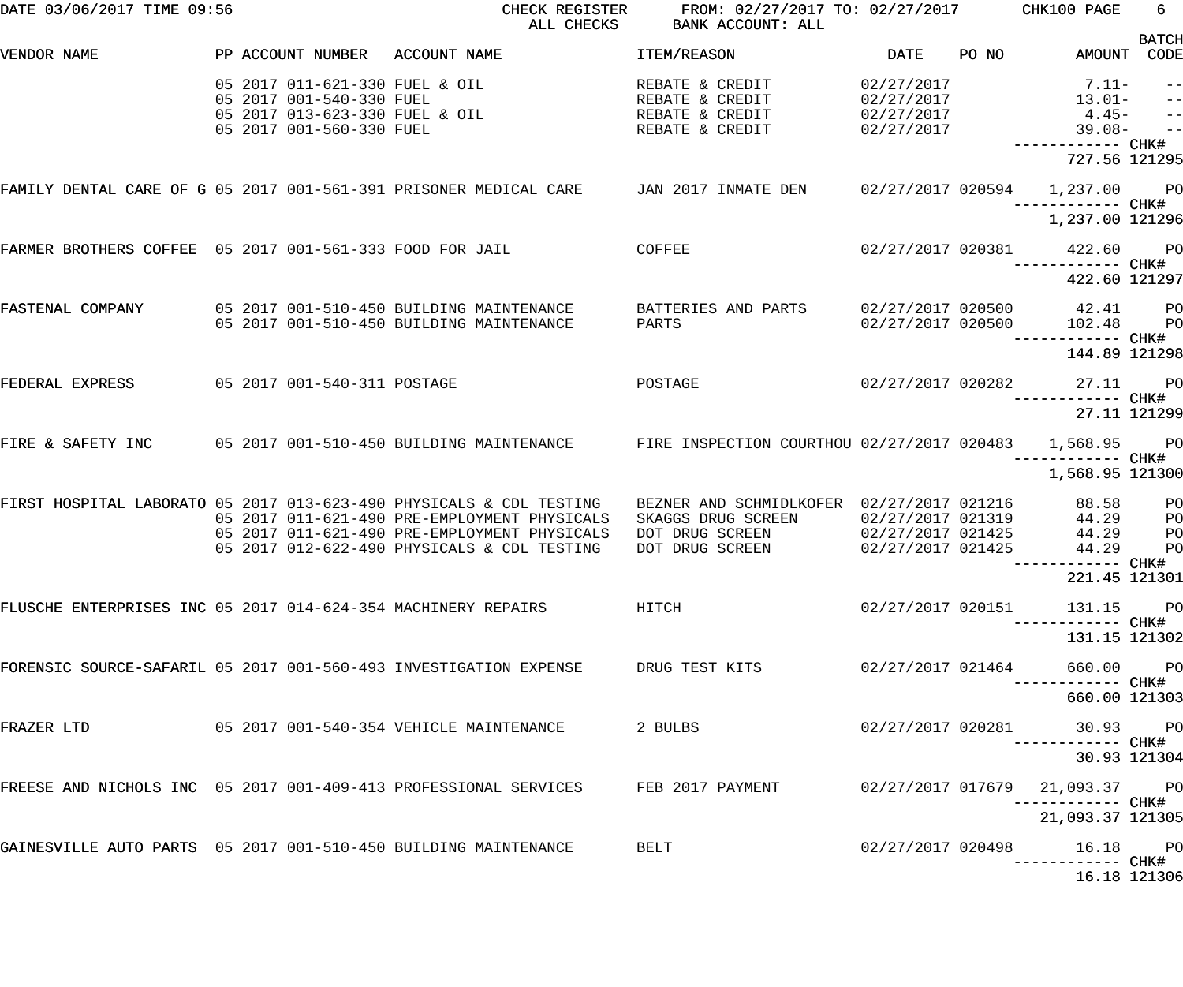| DATE 03/06/2017 TIME 09:56                                        |                                                                                                                          | CHECK REGISTER<br>ALL CHECKS                                                                                                                                                                                       | FROM: 02/27/2017 TO: 02/27/2017 CHK100 PAGE<br>BANK ACCOUNT: ALL                                      |                                                             |       |                                                                     | 6                                                           |
|-------------------------------------------------------------------|--------------------------------------------------------------------------------------------------------------------------|--------------------------------------------------------------------------------------------------------------------------------------------------------------------------------------------------------------------|-------------------------------------------------------------------------------------------------------|-------------------------------------------------------------|-------|---------------------------------------------------------------------|-------------------------------------------------------------|
| VENDOR NAME                                                       | PP ACCOUNT NUMBER                                                                                                        | ACCOUNT NAME                                                                                                                                                                                                       | ITEM/REASON                                                                                           | <b>DATE</b>                                                 | PO NO | AMOUNT CODE                                                         | <b>BATCH</b>                                                |
|                                                                   | 05 2017 011-621-330 FUEL & OIL<br>05 2017 001-540-330 FUEL<br>05 2017 013-623-330 FUEL & OIL<br>05 2017 001-560-330 FUEL |                                                                                                                                                                                                                    | REBATE & CREDIT<br>REBATE & CREDIT<br>REBATE & CREDIT<br>REBATE & CREDIT                              | 02/27/2017<br>02/27/2017<br>02/27/2017<br>02/27/2017        |       | $7.11-$<br>$13.01-$<br>$4.45-$<br>$39.08 -$<br>727.56 121295        | $ -$<br>$\qquad \qquad -$<br>$\frac{1}{2}$<br>$\frac{1}{2}$ |
| FAMILY DENTAL CARE OF G 05 2017 001-561-391 PRISONER MEDICAL CARE |                                                                                                                          |                                                                                                                                                                                                                    | JAN 2017 INMATE DEN                                                                                   |                                                             |       | 02/27/2017 020594 1,237.00 PO<br>—————————— CHK#<br>1,237.00 121296 |                                                             |
| FARMER BROTHERS COFFEE 05 2017 001-561-333 FOOD FOR JAIL          |                                                                                                                          |                                                                                                                                                                                                                    | COFFEE                                                                                                | 02/27/2017 020381                                           |       | 422.60 PO                                                           |                                                             |
| FASTENAL COMPANY                                                  |                                                                                                                          | 05 2017 001-510-450 BUILDING MAINTENANCE<br>05 2017 001-510-450 BUILDING MAINTENANCE                                                                                                                               | BATTERIES AND PARTS<br>PARTS                                                                          | 02/27/2017 020500<br>02/27/2017 020500                      |       | 422.60 121297<br>42.41<br>102.48<br>----------- CHK#                | $_{\rm PO}$<br>P <sub>O</sub>                               |
| FEDERAL EXPRESS                                                   | 05 2017 001-540-311 POSTAGE                                                                                              |                                                                                                                                                                                                                    | POSTAGE                                                                                               | 02/27/2017 020282                                           |       | 144.89 121298<br>27.11<br>—————————— CHK#                           | <b>PO</b>                                                   |
|                                                                   |                                                                                                                          |                                                                                                                                                                                                                    |                                                                                                       |                                                             |       | 27.11 121299                                                        |                                                             |
| FIRE & SAFETY INC                                                 |                                                                                                                          | 05 2017 001-510-450 BUILDING MAINTENANCE                                                                                                                                                                           | FIRE INSPECTION COURTHOU 02/27/2017 020483                                                            |                                                             |       | 1,568.95<br>------------ CHK#<br>1,568.95 121300                    | <b>PO</b>                                                   |
|                                                                   |                                                                                                                          | FIRST HOSPITAL LABORATO 05 2017 013-623-490 PHYSICALS & CDL TESTING<br>05 2017 011-621-490 PRE-EMPLOYMENT PHYSICALS<br>05 2017 011-621-490 PRE-EMPLOYMENT PHYSICALS<br>05 2017 012-622-490 PHYSICALS & CDL TESTING | BEZNER AND SCHMIDLKOFER 02/27/2017 021216<br>SKAGGS DRUG SCREEN<br>DOT DRUG SCREEN<br>DOT DRUG SCREEN | 02/27/2017 021319<br>02/27/2017 021425<br>02/27/2017 021425 |       | 88.58<br>44.29<br>44.29<br>44.29<br>------ CHK#                     | PO<br>PО<br>PO<br>PO                                        |
|                                                                   |                                                                                                                          |                                                                                                                                                                                                                    |                                                                                                       |                                                             |       | 221.45 121301                                                       |                                                             |
| FLUSCHE ENTERPRISES INC 05 2017 014-624-354 MACHINERY REPAIRS     |                                                                                                                          | HITCH                                                                                                                                                                                                              |                                                                                                       | 02/27/2017 020151                                           |       | 131.15 PO<br>------------ CHK#                                      |                                                             |
|                                                                   |                                                                                                                          |                                                                                                                                                                                                                    |                                                                                                       |                                                             |       | 131.15 121302                                                       |                                                             |
|                                                                   |                                                                                                                          | FORENSIC SOURCE-SAFARIL 05 2017 001-560-493 INVESTIGATION EXPENSE TERUG TEST KITS                                                                                                                                  |                                                                                                       | 02/27/2017 021464                                           |       | 660.00 PO<br>----------- CHK#<br>660.00 121303                      |                                                             |
| FRAZER LTD                                                        |                                                                                                                          | 05 2017 001-540-354 VEHICLE MAINTENANCE                                                                                                                                                                            | 2 BULBS                                                                                               |                                                             |       | 02/27/2017 020281 30.93 PO                                          |                                                             |
|                                                                   |                                                                                                                          |                                                                                                                                                                                                                    |                                                                                                       |                                                             |       | 30.93 121304                                                        |                                                             |
|                                                                   |                                                                                                                          | FREESE AND NICHOLS INC 05 2017 001-409-413 PROFESSIONAL SERVICES FEB 2017 PAYMENT                                                                                                                                  |                                                                                                       | 02/27/2017 017679                                           |       | 21,093.37 PO                                                        |                                                             |
|                                                                   |                                                                                                                          |                                                                                                                                                                                                                    |                                                                                                       |                                                             |       | 21,093.37 121305                                                    |                                                             |
| GAINESVILLE AUTO PARTS 05 2017 001-510-450 BUILDING MAINTENANCE   |                                                                                                                          |                                                                                                                                                                                                                    | <b>BELT</b>                                                                                           | 02/27/2017 020498                                           |       | 16.18 PO                                                            |                                                             |
|                                                                   |                                                                                                                          |                                                                                                                                                                                                                    |                                                                                                       |                                                             |       | 16.18 121306                                                        |                                                             |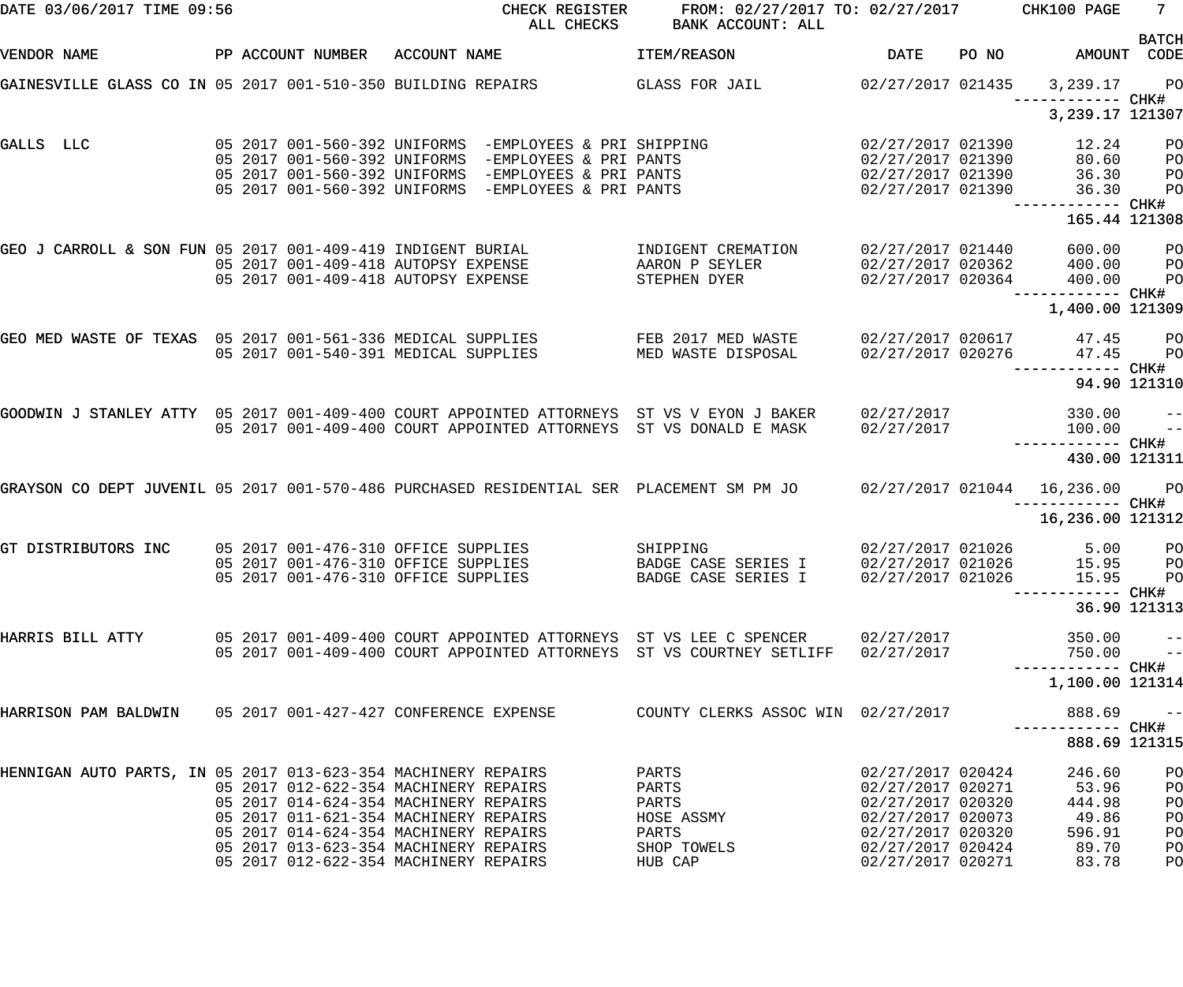| DATE 03/06/2017 TIME 09:56                                                                |  |                                                                                                                   |              | CHECK REGISTER<br>ALL CHECKS                                                                                  | FROM: 02/27/2017 TO: 02/27/2017 CHK100 PAGE<br>BANK ACCOUNT: ALL                                                                                     |                                                             |       |                                                | $7 -$                            |
|-------------------------------------------------------------------------------------------|--|-------------------------------------------------------------------------------------------------------------------|--------------|---------------------------------------------------------------------------------------------------------------|------------------------------------------------------------------------------------------------------------------------------------------------------|-------------------------------------------------------------|-------|------------------------------------------------|----------------------------------|
| VENDOR NAME                                                                               |  | PP ACCOUNT NUMBER                                                                                                 | ACCOUNT NAME |                                                                                                               | <b>ITEM/REASON</b>                                                                                                                                   | <b>DATE</b>                                                 | PO NO | AMOUNT CODE                                    | <b>BATCH</b>                     |
| GAINESVILLE GLASS CO IN 05 2017 001-510-350 BUILDING REPAIRS                              |  |                                                                                                                   |              |                                                                                                               | GLASS FOR JAIL                                                                                                                                       | 02/27/2017 021435                                           |       | 3,239.17<br>—————————— CHK#                    | <b>PO</b>                        |
|                                                                                           |  |                                                                                                                   |              |                                                                                                               |                                                                                                                                                      |                                                             |       | 3, 239.17 121307                               |                                  |
| GALLS LLC                                                                                 |  |                                                                                                                   |              | 05 2017 001-560-392 UNIFORMS -EMPLOYEES & PRI SHIPPING<br>05 2017 001-560-392 UNIFORMS -EMPLOYEES & PRI PANTS |                                                                                                                                                      | 02/27/2017 021390<br>02/27/2017 021390                      |       | 12.24<br>80.60                                 | P <sub>O</sub><br>P <sub>O</sub> |
|                                                                                           |  |                                                                                                                   |              | 05 2017 001-560-392 UNIFORMS -EMPLOYEES & PRI PANTS<br>05 2017 001-560-392 UNIFORMS -EMPLOYEES & PRI PANTS    |                                                                                                                                                      | 02/27/2017 021390<br>02/27/2017 021390                      |       | 36.30<br>36.30                                 | P <sub>O</sub><br>PO             |
|                                                                                           |  |                                                                                                                   |              |                                                                                                               |                                                                                                                                                      |                                                             |       | 165.44 121308                                  |                                  |
| GEO J CARROLL & SON FUN 05 2017 001-409-419 INDIGENT BURIAL                               |  | 05 2017 001-409-418 AUTOPSY EXPENSE<br>05 2017 001-409-418 AUTOPSY EXPENSE                                        |              |                                                                                                               | INDIGENT CREMATION<br>AARON P SEYLER                                                                                                                 | 02/27/2017 021440<br>02/27/2017 020362<br>02/27/2017 020364 |       | 600.00<br>400.00                               | P <sub>O</sub><br>P <sub>O</sub> |
|                                                                                           |  |                                                                                                                   |              |                                                                                                               | STEPHEN DYER                                                                                                                                         |                                                             |       | 400.00<br>------------ CHK#<br>1,400.00 121309 | PO                               |
| GEO MED WASTE OF TEXAS 05 2017 001-561-336 MEDICAL SUPPLIES                               |  | 05 2017 001-540-391 MEDICAL SUPPLIES                                                                              |              |                                                                                                               | FEB 2017 MED WASTE<br>MED WASTE DISPOSAL                                                                                                             | 02/27/2017 020617<br>02/27/2017 020276                      |       | 47.45<br>47.45                                 | $P$ O<br>P <sub>O</sub>          |
|                                                                                           |  |                                                                                                                   |              |                                                                                                               |                                                                                                                                                      |                                                             |       | —————————— CHK#                                | 94.90 121310                     |
| GOODWIN J STANLEY ATTY 05 2017 001-409-400 COURT APPOINTED ATTORNEYS ST VS V EYON J BAKER |  |                                                                                                                   |              |                                                                                                               | 05 2017 001-409-400 COURT APPOINTED ATTORNEYS ST VS DONALD E MASK                                                                                    | 02/27/2017<br>02/27/2017                                    |       | 330.00<br>100.00                               | $ -$<br>$\qquad \qquad -$        |
|                                                                                           |  |                                                                                                                   |              |                                                                                                               |                                                                                                                                                      |                                                             |       | 430.00 121311                                  |                                  |
| GRAYSON CO DEPT JUVENIL 05 2017 001-570-486 PURCHASED RESIDENTIAL SER PLACEMENT SM PM JO  |  |                                                                                                                   |              |                                                                                                               |                                                                                                                                                      |                                                             |       | 02/27/2017 021044 16,236.00 PO                 |                                  |
|                                                                                           |  |                                                                                                                   |              |                                                                                                               |                                                                                                                                                      |                                                             |       | 16,236.00 121312                               |                                  |
| GT DISTRIBUTORS INC                                                                       |  | 05 2017 001-476-310 OFFICE SUPPLIES<br>05 2017 001-476-310 OFFICE SUPPLIES<br>05 2017 001-476-310 OFFICE SUPPLIES |              |                                                                                                               | SHIPPING<br>BADGE CASE SERIES I 02/27/2017 021026 15.95 PO<br>BADGE CASE SERIES I                                                                    | 02/27/2017 021026<br>02/27/2017 021026                      |       | 5.00<br>15.95                                  | P <sub>O</sub><br>P <sub>O</sub> |
|                                                                                           |  |                                                                                                                   |              |                                                                                                               |                                                                                                                                                      |                                                             |       | ------ CHK#                                    | 36.90 121313                     |
| HARRIS BILL ATTY                                                                          |  |                                                                                                                   |              |                                                                                                               | 05 2017 001-409-400 COURT APPOINTED ATTORNEYS ST VS LEE C SPENCER<br>05 2017 001-409-400 COURT APPOINTED ATTORNEYS ST VS COURTNEY SETLIFF 02/27/2017 | 02/27/2017                                                  |       | 350.00<br>750.00                               | $- -$<br>$\qquad \qquad -$       |
|                                                                                           |  |                                                                                                                   |              |                                                                                                               |                                                                                                                                                      |                                                             |       | 1,100.00 121314                                |                                  |
| HARRISON PAM BALDWIN 05 2017 001-427-427 CONFERENCE EXPENSE                               |  |                                                                                                                   |              |                                                                                                               | COUNTY CLERKS ASSOC WIN 02/27/2017                                                                                                                   |                                                             |       | 888.69<br>-----------         CHK#             | $- -$                            |
|                                                                                           |  |                                                                                                                   |              |                                                                                                               |                                                                                                                                                      |                                                             |       | 888.69 121315                                  |                                  |
| HENNIGAN AUTO PARTS, IN 05 2017 013-623-354 MACHINERY REPAIRS                             |  | 05 2017 012-622-354 MACHINERY REPAIRS<br>05 2017 014-624-354 MACHINERY REPAIRS                                    |              |                                                                                                               | PARTS<br>PARTS<br>PARTS                                                                                                                              | 02/27/2017 020424<br>02/27/2017 020271<br>02/27/2017 020320 |       | 246.60<br>53.96<br>444.98                      | PO<br>PO<br>PO                   |
|                                                                                           |  | 05 2017 011-621-354 MACHINERY REPAIRS<br>05 2017 014-624-354 MACHINERY REPAIRS                                    |              |                                                                                                               | HOSE ASSMY<br>PARTS                                                                                                                                  | 02/27/2017 020073<br>02/27/2017 020320                      |       | 49.86<br>596.91                                | PO<br>PO                         |
|                                                                                           |  | 05 2017 013-623-354 MACHINERY REPAIRS<br>05 2017 012-622-354 MACHINERY REPAIRS                                    |              |                                                                                                               | SHOP TOWELS<br>HUB CAP                                                                                                                               | 02/27/2017 020424<br>02/27/2017 020271                      |       | 89.70<br>83.78                                 | PO<br>PO                         |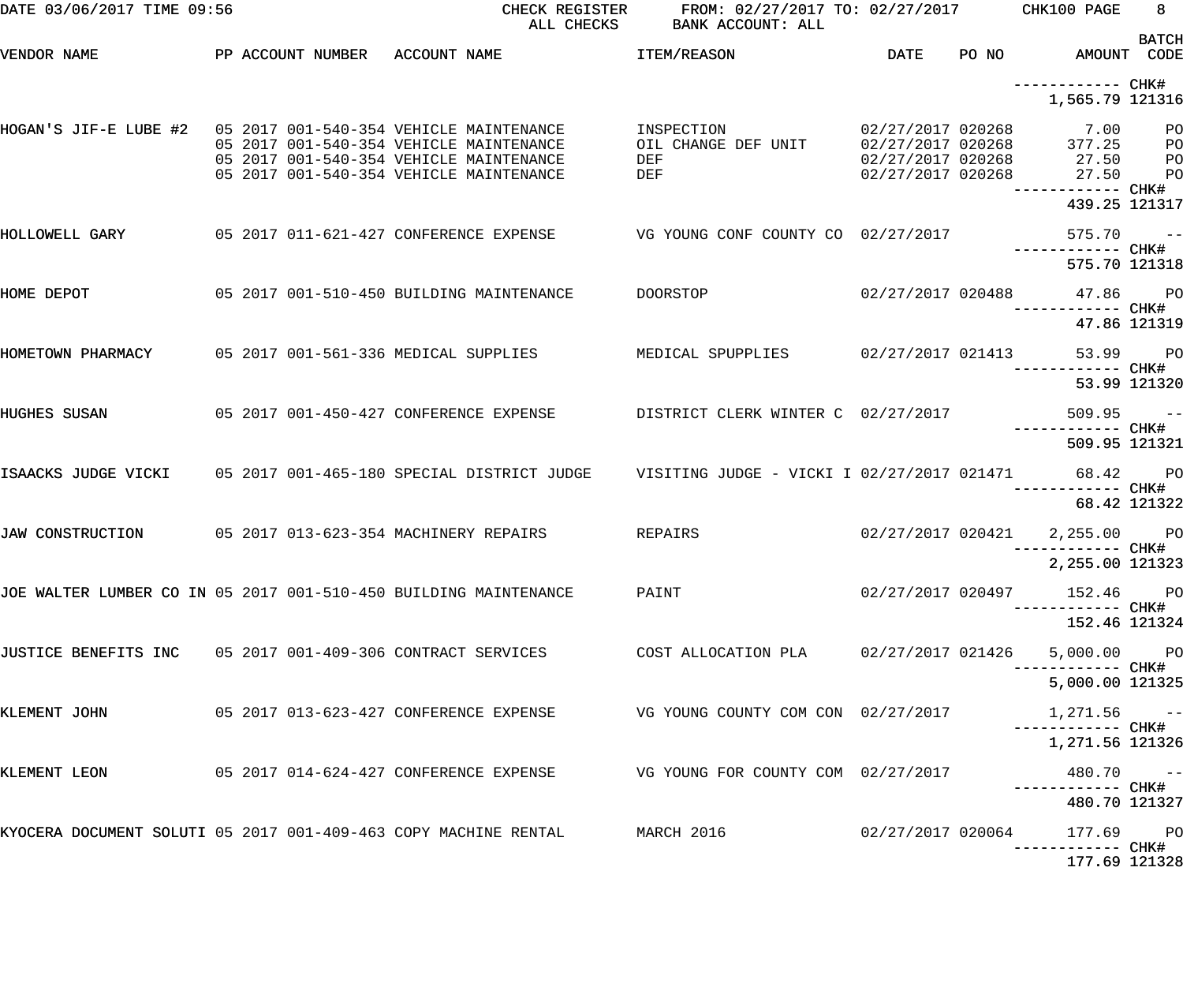| DATE 03/06/2017 TIME 09:56                                       |  | CHECK REGISTER<br>ALL CHECKS                                                                                                  | FROM: 02/27/2017 TO: 02/27/2017 CHK100 PAGE<br>BANK ACCOUNT: ALL |                   |                                                                                                                                       | 8 <sup>1</sup> |
|------------------------------------------------------------------|--|-------------------------------------------------------------------------------------------------------------------------------|------------------------------------------------------------------|-------------------|---------------------------------------------------------------------------------------------------------------------------------------|----------------|
| VENDOR NAME                                                      |  | PP ACCOUNT NUMBER ACCOUNT NAME                                                                                                | ITEM/REASON                                                      | DATE              | PO NO AMOUNT CODE                                                                                                                     | <b>BATCH</b>   |
|                                                                  |  |                                                                                                                               |                                                                  |                   | 1,565.79 121316                                                                                                                       |                |
| HOGAN'S JIF-E LUBE #2 05 2017 001-540-354 VEHICLE MAINTENANCE    |  | 05 2017 001-540-354 VEHICLE MAINTENANCE<br>05 2017 001-540-354 VEHICLE MAINTENANCE<br>05 2017 001-540-354 VEHICLE MAINTENANCE | INSPECTION<br>OIL CHANGE DEF UNIT<br>DEF<br>DEF                  |                   | 02/27/2017 020268 7.00 PO<br>02/27/2017 020268 377.25 PO<br>02/27/2017 020268 27.50 PO<br>02/27/2017 020268 27.50 PO<br>439.25 121317 |                |
| HOLLOWELL GARY                                                   |  | 05 2017 011-621-427 CONFERENCE EXPENSE TO VG YOUNG CONF COUNTY CO 02/27/2017                                                  |                                                                  |                   | $575.70 - -$<br>------------ CHK#                                                                                                     |                |
| HOME DEPOT                                                       |  | 05 2017 001-510-450 BUILDING MAINTENANCE DOORSTOP                                                                             |                                                                  |                   | 575.70 121318<br>02/27/2017 020488 47.86 PO                                                                                           |                |
|                                                                  |  | HOMETOWN PHARMACY     05 2017 001-561-336 MEDICAL SUPPLIES       MEDICAL SPUPPLIES     02/27/2017 021413                      |                                                                  |                   | 47.86 121319<br>53.99 PO                                                                                                              |                |
|                                                                  |  | HUGHES SUSAN                     05 2017 001-450-427 CONFERENCE EXPENSE           DISTRICT CLERK WINTER C  02/27/2017         |                                                                  |                   | 53.99 121320<br>$509.95 -$<br>------------ CHK#                                                                                       |                |
|                                                                  |  | ISAACKS JUDGE VICKI 05 2017 001-465-180 SPECIAL DISTRICT JUDGE 0 VISITING JUDGE - VICKI I 02/27/2017 021471 68.42 PO          |                                                                  |                   | 509.95 121321                                                                                                                         |                |
|                                                                  |  | JAW CONSTRUCTION 65 2017 013-623-354 MACHINERY REPAIRS REPAIRS                                                                |                                                                  | 02/27/2017 020421 | 68.42 121322<br>2,255.00 PO                                                                                                           |                |
| JOE WALTER LUMBER CO IN 05 2017 001-510-450 BUILDING MAINTENANCE |  |                                                                                                                               | PAINT                                                            | 02/27/2017 020497 | 2,255.00 121323<br>152.46 PO                                                                                                          |                |
|                                                                  |  | JUSTICE BENEFITS INC 05 2017 001-409-306 CONTRACT SERVICES (COST ALLOCATION PLA 02/27/2017 021426 5,000.00 PO                 |                                                                  |                   | 152.46 121324                                                                                                                         |                |
| KLEMENT JOHN                                                     |  |                                                                                                                               |                                                                  |                   | 5,000.00 121325                                                                                                                       |                |
|                                                                  |  |                                                                                                                               |                                                                  |                   | $1,271.56$ ------------ CHK#<br>1,271.56 121326                                                                                       |                |
| KLEMENT LEON                                                     |  | 05  2017  014-624-427  CONFERENCE EXPENSE                VG YOUNG FOR COUNTY COM  02/27/2017                                  |                                                                  |                   | $480.70$ ------------ CHK#<br>480.70 121327                                                                                           |                |
|                                                                  |  | KYOCERA DOCUMENT SOLUTI 05 2017 001-409-463 COPY MACHINE RENTAL MARCH 2016 602/27/2017 020064                                 |                                                                  |                   | 177.69 PO<br>177.69 121328                                                                                                            |                |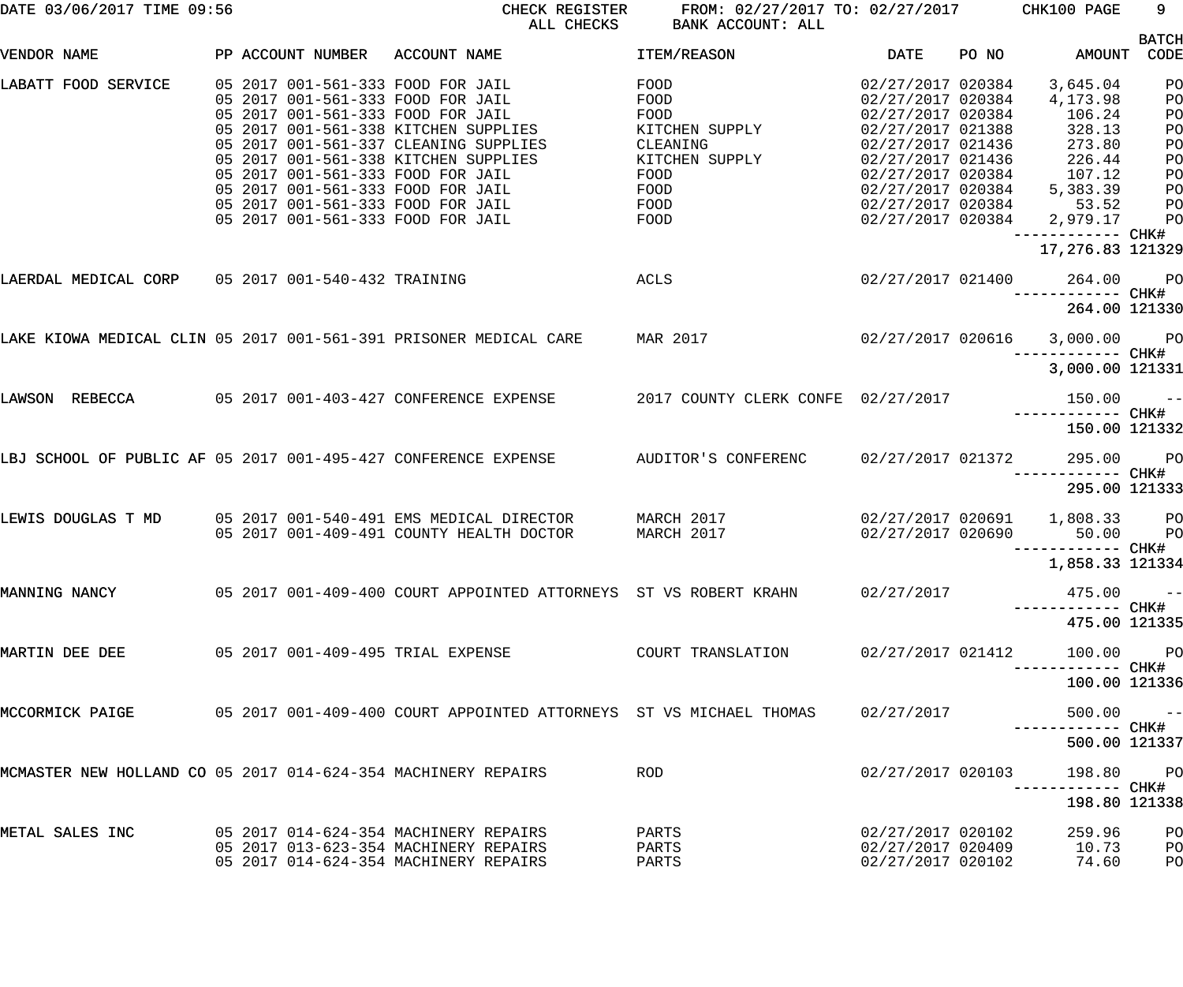| DATE 03/06/2017 TIME 09:56                                    |  |  | CHECK REGISTER<br>ALL CHECKS                                                                               | BANK ACCOUNT: ALL        | FROM: 02/27/2017 TO: 02/27/2017 CHK100 PAGE |       |                                           | 9                    |
|---------------------------------------------------------------|--|--|------------------------------------------------------------------------------------------------------------|--------------------------|---------------------------------------------|-------|-------------------------------------------|----------------------|
| VENDOR NAME                                                   |  |  | PP ACCOUNT NUMBER ACCOUNT NAME                                                                             | ITEM/REASON              | DATE                                        | PO NO | AMOUNT                                    | <b>BATCH</b><br>CODE |
| LABATT FOOD SERVICE                                           |  |  | 05 2017 001-561-333 FOOD FOR JAIL                                                                          | FOOD                     | 02/27/2017 020384                           |       | 3,645.04                                  | PO                   |
|                                                               |  |  | 05 2017 001-561-333 FOOD FOR JAIL                                                                          | FOOD                     | 02/27/2017 020384                           |       | 4,173.98                                  | PO                   |
|                                                               |  |  | 05 2017 001-561-333 FOOD FOR JAIL                                                                          | FOOD                     | 02/27/2017 020384                           |       | 106.24                                    | PO                   |
|                                                               |  |  | 05 2017 001-561-338 KITCHEN SUPPLIES                                                                       | KITCHEN SUPPLY           | 02/27/2017 021388                           |       | 328.13                                    | PO                   |
|                                                               |  |  | 05 2017 001-561-337 CLEANING SUPPLIES                                                                      | CLEANING                 | 02/27/2017 021436                           |       | 273.80                                    | PO                   |
|                                                               |  |  | 05 2017 001-561-338 KITCHEN SUPPLIES                                                                       | KITCHEN SUPPLY           |                                             |       | 02/27/2017 021436 226.44                  | PO                   |
|                                                               |  |  | 05 2017 001-561-333 FOOD FOR JAIL                                                                          | FOOD                     |                                             |       | 02/27/2017 020384 107.12                  | PO                   |
|                                                               |  |  | 05 2017 001-561-333 FOOD FOR JAIL                                                                          | FOOD <b>Example 20</b>   | 02/27/2017 020384                           |       | 5,383.39                                  | PO                   |
|                                                               |  |  | 05 2017 001-561-333 FOOD FOR JAIL<br>05 2017 001-561-333 FOOD FOR JAIL                                     | FOOD<br>FOOD <b>FOOD</b> | 02/27/2017 020384                           |       | 53.52<br>02/27/2017 020384 2,979.17       | PO<br>P <sub>O</sub> |
|                                                               |  |  |                                                                                                            |                          |                                             |       | ------------ CHK#<br>17,276.83 121329     |                      |
| LAERDAL MEDICAL CORP 05 2017 001-540-432 TRAINING             |  |  | <b>ACLS</b>                                                                                                |                          | 02/27/2017 021400                           |       | 264.00 PO                                 |                      |
|                                                               |  |  |                                                                                                            |                          |                                             |       | ------------ CHK#<br>264.00 121330        |                      |
|                                                               |  |  |                                                                                                            |                          |                                             |       |                                           |                      |
|                                                               |  |  | LAKE KIOWA MEDICAL CLIN 05 2017 001-561-391 PRISONER MEDICAL CARE MAR 2017 (2017 122017 020616 1,000.00 PO |                          |                                             |       | ------------ CHK#                         |                      |
|                                                               |  |  |                                                                                                            |                          |                                             |       | 3,000.00 121331                           |                      |
| LAWSON REBECCA                                                |  |  | 05 2017 001-403-427 CONFERENCE EXPENSE 2017 COUNTY CLERK CONFE 02/27/2017                                  |                          |                                             |       | $150.00 -$<br>------------ CHK#           |                      |
|                                                               |  |  |                                                                                                            |                          |                                             |       | 150.00 121332                             |                      |
|                                                               |  |  | LBJ SCHOOL OF PUBLIC AF 05 2017 001-495-427 CONFERENCE EXPENSE AUDITOR'S CONFERENC                         |                          | 02/27/2017 021372                           |       | 295.00                                    | PO <sub>1</sub>      |
|                                                               |  |  |                                                                                                            |                          |                                             |       | ------------ CHK#<br>295.00 121333        |                      |
| LEWIS DOUGLAS T MD                                            |  |  | 05 2017 001-540-491 EMS MEDICAL DIRECTOR MARCH 2017                                                        |                          |                                             |       | 02/27/2017 020691  1,808.33  PO           |                      |
|                                                               |  |  | 05 2017 001-409-491 COUNTY HEALTH DOCTOR                                                                   | MARCH 2017               | 02/27/2017 020690                           |       | 50.00<br>------------ CHK#                | P <sub>O</sub>       |
|                                                               |  |  |                                                                                                            |                          |                                             |       | 1,858.33 121334                           |                      |
| MANNING NANCY                                                 |  |  | 05   2017   001-409-400   COURT APPOINTED ATTORNEYS   ST VS ROBERT KRAHN                                   |                          | 02/27/2017                                  |       | 475.00                                    | $ -$                 |
|                                                               |  |  |                                                                                                            |                          |                                             |       | 475.00 121335                             |                      |
| MARTIN DEE DEE                                                |  |  | 05 2017 001-409-495 TRIAL EXPENSE                                                                          | COURT TRANSLATION        | 02/27/2017 021412                           |       | 100.00 PO                                 |                      |
|                                                               |  |  |                                                                                                            |                          |                                             |       | -----------         CHK#<br>100.00 121336 |                      |
| MCCORMICK PAIGE                                               |  |  | 05  2017  001-409-400  COURT APPOINTED ATTORNEYS  ST VS MICHAEL THOMAS                                     |                          | 02/27/2017                                  |       | $500.00 - -$                              |                      |
|                                                               |  |  |                                                                                                            |                          |                                             |       | 500.00 121337                             |                      |
| MCMASTER NEW HOLLAND CO 05 2017 014-624-354 MACHINERY REPAIRS |  |  |                                                                                                            | ROD                      | 02/27/2017 020103                           |       | 198.80 PO                                 |                      |
|                                                               |  |  |                                                                                                            |                          |                                             |       |                                           |                      |
|                                                               |  |  |                                                                                                            |                          |                                             |       | 198.80 121338                             |                      |
| METAL SALES INC                                               |  |  | 05 2017 014-624-354 MACHINERY REPAIRS                                                                      | PARTS                    | 02/27/2017 020102                           |       | 259.96                                    | PO                   |
|                                                               |  |  | 05 2017 013-623-354 MACHINERY REPAIRS                                                                      | PARTS                    |                                             |       | 02/27/2017 020409 10.73                   | PO                   |
|                                                               |  |  | 05 2017 014-624-354 MACHINERY REPAIRS                                                                      | PARTS                    | 02/27/2017 020102                           |       | 74.60                                     | PO                   |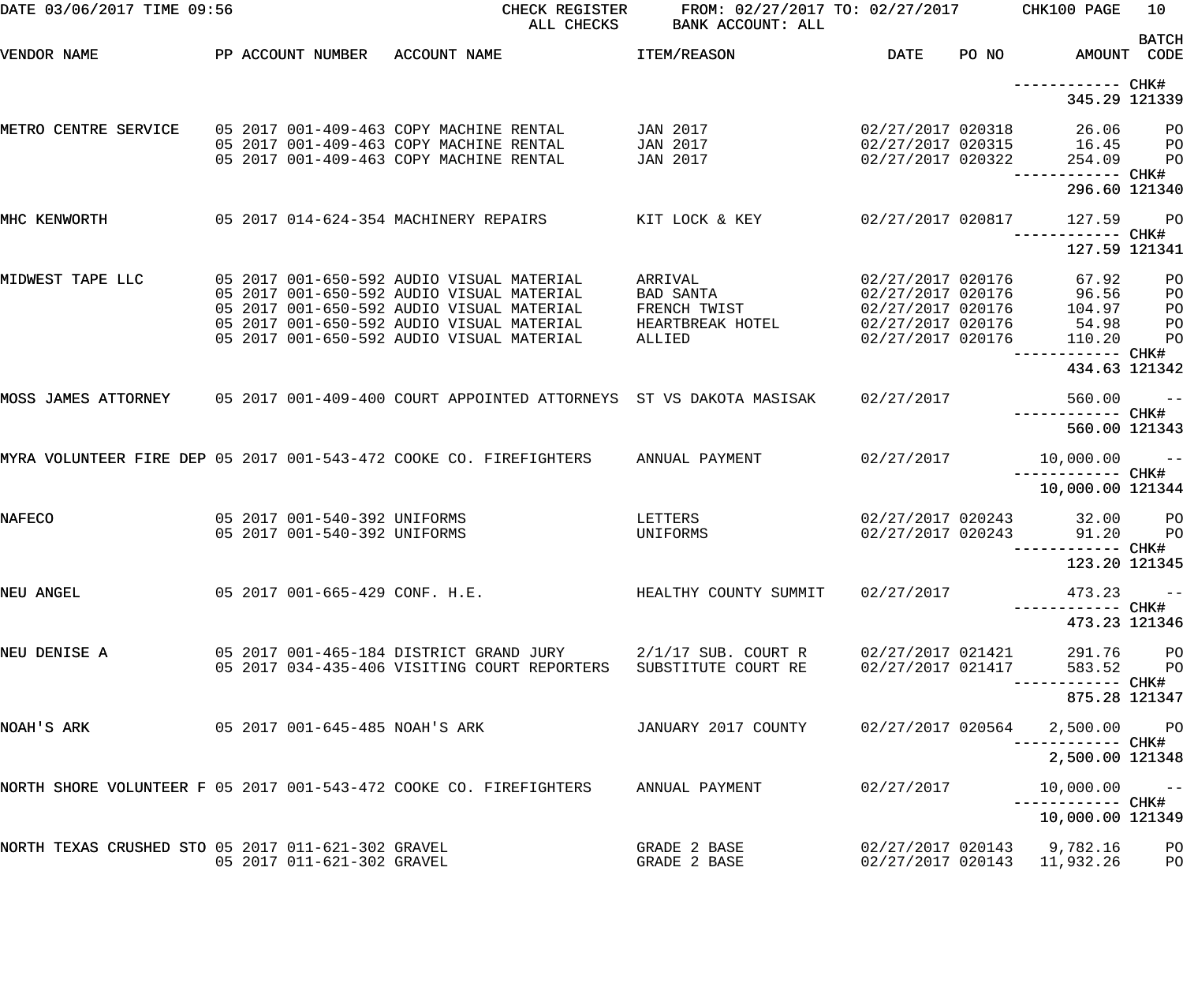| DATE 03/06/2017 TIME 09:56                         |                                                              | CHECK REGISTER<br>ALL CHECKS                                                                                                                                                                                                  | FROM: 02/27/2017 TO: 02/27/2017 CHK100 PAGE<br>BANK ACCOUNT: ALL   |                                                                                                       |       |                                                                                  | 10                               |
|----------------------------------------------------|--------------------------------------------------------------|-------------------------------------------------------------------------------------------------------------------------------------------------------------------------------------------------------------------------------|--------------------------------------------------------------------|-------------------------------------------------------------------------------------------------------|-------|----------------------------------------------------------------------------------|----------------------------------|
| VENDOR NAME                                        | PP ACCOUNT NUMBER                                            | ACCOUNT NAME                                                                                                                                                                                                                  | ITEM/REASON                                                        | DATE                                                                                                  | PO NO | AMOUNT CODE                                                                      | <b>BATCH</b>                     |
|                                                    |                                                              |                                                                                                                                                                                                                               |                                                                    |                                                                                                       |       | ------------ CHK#<br>345.29 121339                                               |                                  |
| METRO CENTRE SERVICE                               |                                                              | 05 2017 001-409-463 COPY MACHINE RENTAL<br>05 2017 001-409-463 COPY MACHINE RENTAL<br>05 2017 001-409-463 COPY MACHINE RENTAL                                                                                                 | JAN 2017<br>JAN 2017<br>JAN 2017                                   | 02/27/2017 020318<br>02/27/2017 020315<br>02/27/2017 020322                                           |       | 26.06<br>16.45<br>254.09                                                         | PО<br>P <sub>O</sub><br>PO       |
|                                                    |                                                              |                                                                                                                                                                                                                               |                                                                    |                                                                                                       |       | ----------- CHK#<br>296.60 121340                                                |                                  |
| MHC KENWORTH                                       |                                                              | 05 2017 014-624-354 MACHINERY REPAIRS                                                                                                                                                                                         | KIT LOCK & KEY                                                     | 02/27/2017 020817                                                                                     |       | 127.59                                                                           | <b>PO</b>                        |
|                                                    |                                                              |                                                                                                                                                                                                                               |                                                                    |                                                                                                       |       | 127.59 121341                                                                    |                                  |
| MIDWEST TAPE LLC                                   |                                                              | 05 2017 001-650-592 AUDIO VISUAL MATERIAL<br>05 2017 001-650-592 AUDIO VISUAL MATERIAL<br>05 2017 001-650-592 AUDIO VISUAL MATERIAL<br>05 2017 001-650-592 AUDIO VISUAL MATERIAL<br>05 2017 001-650-592 AUDIO VISUAL MATERIAL | ARRIVAL<br>BAD SANTA<br>FRENCH TWIST<br>HEARTBREAK HOTEL<br>ALLIED | 02/27/2017 020176<br>02/27/2017 020176<br>02/27/2017 020176<br>02/27/2017 020176<br>02/27/2017 020176 |       | 67.92<br>96.56<br>104.97<br>54.98<br>110.20<br>----------- CHK#<br>434.63 121342 | PO<br>PO<br>PO<br>PO<br>PO       |
|                                                    |                                                              | MOSS JAMES ATTORNEY     05 2017 001-409-400 COURT APPOINTED ATTORNEYS  ST VS DAKOTA MASISAK                                                                                                                                   |                                                                    | 02/27/2017                                                                                            |       | 560.00                                                                           | $ -$                             |
|                                                    |                                                              |                                                                                                                                                                                                                               |                                                                    |                                                                                                       |       | 560.00 121343                                                                    |                                  |
|                                                    |                                                              | MYRA VOLUNTEER FIRE DEP 05 2017 001-543-472 COOKE CO. FIREFIGHTERS                                                                                                                                                            | ANNUAL PAYMENT                                                     | 02/27/2017                                                                                            |       | $10,000.00$ --<br>10,000.00 121344                                               |                                  |
| <b>NAFECO</b>                                      | 05 2017 001-540-392 UNIFORMS<br>05 2017 001-540-392 UNIFORMS |                                                                                                                                                                                                                               | LETTERS<br>UNIFORMS                                                | 02/27/2017 020243<br>02/27/2017 020243                                                                |       | 32.00<br>91.20<br>----------- CHK#                                               | P <sub>O</sub><br>P <sub>O</sub> |
|                                                    |                                                              |                                                                                                                                                                                                                               |                                                                    |                                                                                                       |       | 123.20 121345                                                                    |                                  |
| NEU ANGEL                                          |                                                              | $05\ \ 2017\ \ 001-665-429\ \ \mathrm{CONF.}\ \ \mathrm{H.E.}$                                                                                                                                                                | HEALTHY COUNTY SUMMIT                                              | 02/27/2017                                                                                            |       | $473.23 - -$                                                                     |                                  |
|                                                    |                                                              |                                                                                                                                                                                                                               |                                                                    |                                                                                                       |       | 473.23 121346                                                                    |                                  |
| NEU DENISE A                                       |                                                              | 05 2017 034-435-406 VISITING COURT REPORTERS SUBSTITUTE COURT RE                                                                                                                                                              |                                                                    | 02/27/2017 021421<br>02/27/2017 021417                                                                |       | 291.76 PO<br>583.52<br>----------- CHK#                                          | <b>PO</b>                        |
|                                                    |                                                              |                                                                                                                                                                                                                               |                                                                    |                                                                                                       |       | 875.28 121347                                                                    |                                  |
| NOAH'S ARK                                         |                                                              | 05 2017 001-645-485 NOAH'S ARK                                                                                                                                                                                                | JANUARY 2017 COUNTY                                                | 02/27/2017 020564                                                                                     |       | 2,500.00 PO                                                                      |                                  |
|                                                    |                                                              | NORTH SHORE VOLUNTEER F 05 2017 001-543-472 COOKE CO. FIREFIGHTERS ANNUAL PAYMENT                                                                                                                                             |                                                                    | 02/27/2017                                                                                            |       | 2,500.00 121348<br>$10,000.00$ --                                                |                                  |
|                                                    |                                                              |                                                                                                                                                                                                                               |                                                                    |                                                                                                       |       | 10,000.00 121349                                                                 |                                  |
| NORTH TEXAS CRUSHED STO 05 2017 011-621-302 GRAVEL | 05 2017 011-621-302 GRAVEL                                   |                                                                                                                                                                                                                               | GRADE 2 BASE<br>GRADE 2 BASE                                       |                                                                                                       |       | 02/27/2017 020143 9,782.16<br>02/27/2017 020143 11,932.26                        | P <sub>O</sub><br>PO             |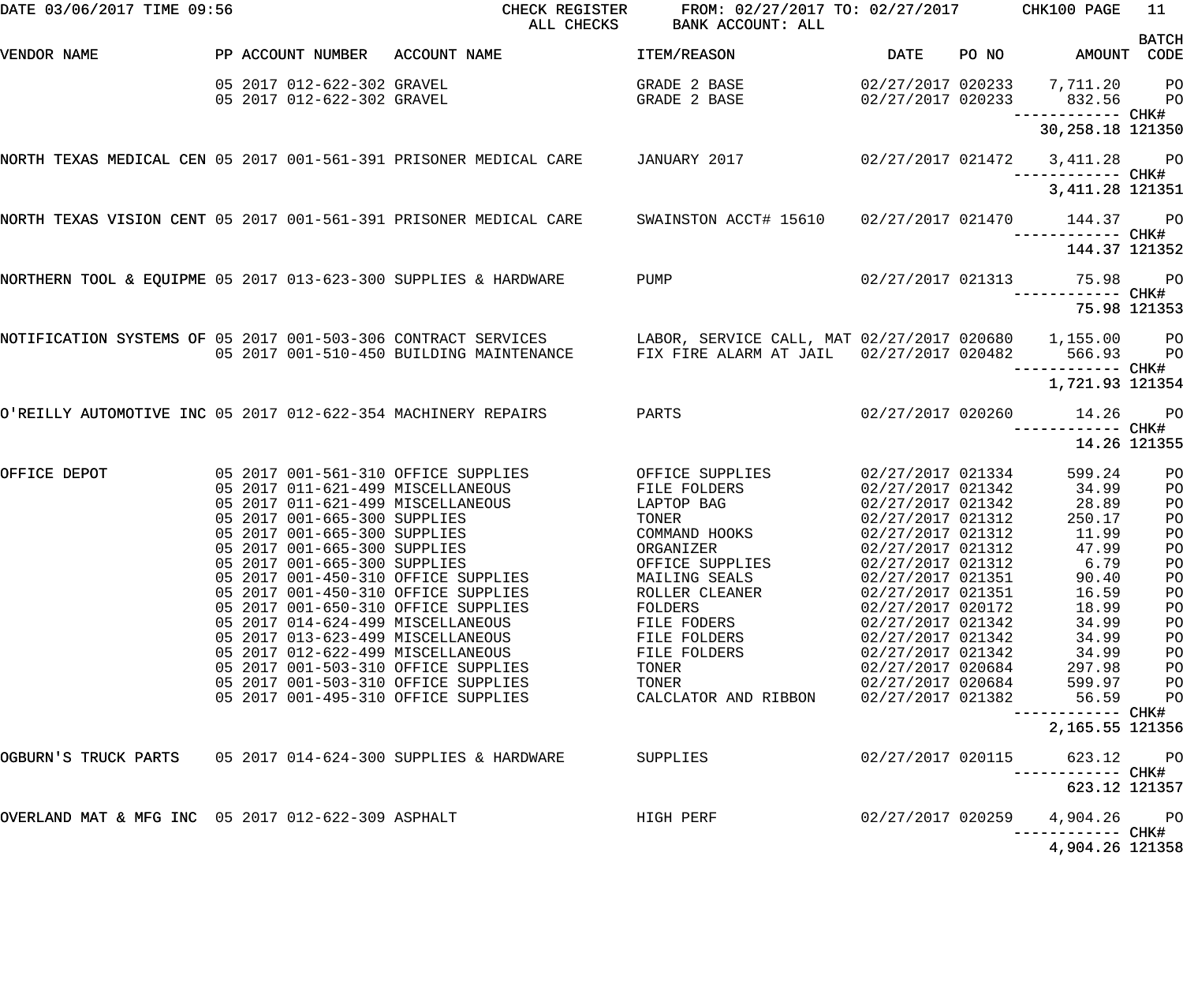| DATE 03/06/2017 TIME 09:56                                        |                                                          | CHECK REGISTER<br>ALL CHECKS                                             | FROM: 02/27/2017 TO: 02/27/2017 CHK100 PAGE<br>BANK ACCOUNT: ALL                                          |                                        |       |                                                                             | 11<br><b>BATCH</b> |
|-------------------------------------------------------------------|----------------------------------------------------------|--------------------------------------------------------------------------|-----------------------------------------------------------------------------------------------------------|----------------------------------------|-------|-----------------------------------------------------------------------------|--------------------|
| VENDOR NAME                                                       |                                                          | PP ACCOUNT NUMBER ACCOUNT NAME                                           | ITEM/REASON                                                                                               | <b>DATE</b>                            | PO NO | AMOUNT                                                                      | CODE               |
|                                                                   | 05 2017 012-622-302 GRAVEL<br>05 2017 012-622-302 GRAVEL |                                                                          | GRADE 2 BASE<br>GRADE 2 BASE                                                                              |                                        |       | 02/27/2017 020233 7,711.20<br>02/27/2017 020233 832.56<br>------------ CHK# | $P$ O<br><b>PO</b> |
|                                                                   |                                                          |                                                                          |                                                                                                           |                                        |       | 30, 258. 18 121350                                                          |                    |
| NORTH TEXAS MEDICAL CEN 05 2017 001-561-391 PRISONER MEDICAL CARE |                                                          |                                                                          | JANUARY 2017                                                                                              |                                        |       | 02/27/2017 021472 3,411.28 PO<br>------------ CHK#                          |                    |
|                                                                   |                                                          |                                                                          |                                                                                                           |                                        |       | 3, 411.28 121351                                                            |                    |
| NORTH TEXAS VISION CENT 05 2017 001-561-391 PRISONER MEDICAL CARE |                                                          |                                                                          | SWAINSTON ACCT# 15610                                                                                     |                                        |       | 02/27/2017 021470 144.37                                                    | <b>PO</b>          |
|                                                                   |                                                          |                                                                          |                                                                                                           |                                        |       | 144.37 121352                                                               |                    |
| NORTHERN TOOL & EQUIPME 05 2017 013-623-300 SUPPLIES & HARDWARE   |                                                          |                                                                          | PUMP                                                                                                      |                                        |       | 02/27/2017 021313 75.98                                                     | PO <sub>1</sub>    |
|                                                                   |                                                          |                                                                          |                                                                                                           |                                        |       |                                                                             | 75.98 121353       |
| NOTIFICATION SYSTEMS OF 05 2017 001-503-306 CONTRACT SERVICES     |                                                          | 05 2017 001-510-450 BUILDING MAINTENANCE                                 | LABOR, SERVICE CALL, MAT 02/27/2017 020680 1,155.00 PO<br>FIX FIRE ALARM AT JAIL 02/27/2017 020482 566.93 |                                        |       | ------------ CHK#                                                           | <b>PO</b>          |
|                                                                   |                                                          |                                                                          |                                                                                                           |                                        |       | 1,721.93 121354                                                             |                    |
| O'REILLY AUTOMOTIVE INC 05 2017 012-622-354 MACHINERY REPAIRS     |                                                          |                                                                          | PARTS                                                                                                     |                                        |       | 02/27/2017 020260 14.26                                                     | <b>PO</b>          |
|                                                                   |                                                          |                                                                          |                                                                                                           |                                        |       | 14.26 121355                                                                |                    |
| OFFICE DEPOT                                                      |                                                          | 05 2017 001-561-310 OFFICE SUPPLIES<br>05 2017 011-621-499 MISCELLANEOUS | OFFICE SUPPLIES<br>FILE FOLDERS                                                                           | 02/27/2017 021334<br>02/27/2017 021342 |       | 599.24<br>34.99                                                             | PO                 |
|                                                                   |                                                          | 05 2017 011-621-499 MISCELLANEOUS                                        | LAPTOP BAG                                                                                                | 02/27/2017 021342                      |       | 28.89                                                                       | PO<br>PO           |
|                                                                   | 05 2017 001-665-300 SUPPLIES                             |                                                                          | TONER                                                                                                     | 02/27/2017 021312                      |       | 250.17                                                                      | P <sub>O</sub>     |
|                                                                   | 05 2017 001-665-300 SUPPLIES                             |                                                                          | COMMAND HOOKS                                                                                             | 02/27/2017 021312                      |       | 11.99                                                                       | P <sub>O</sub>     |
|                                                                   | 05 2017 001-665-300 SUPPLIES                             |                                                                          | ORGANIZER                                                                                                 | 02/27/2017 021312                      |       | 47.99                                                                       | PO                 |
|                                                                   | 05 2017 001-665-300 SUPPLIES                             |                                                                          | OFFICE SUPPLIES                                                                                           | 02/27/2017 021312                      |       | 6.79                                                                        | PO                 |
|                                                                   |                                                          | 05 2017 001-450-310 OFFICE SUPPLIES                                      | MAILING SEALS                                                                                             | 02/27/2017 021351                      |       | 90.40                                                                       | PO                 |
|                                                                   |                                                          | 05 2017 001-450-310 OFFICE SUPPLIES                                      | ROLLER CLEANER                                                                                            | 02/27/2017 021351                      |       | 16.59                                                                       | PO                 |
|                                                                   |                                                          | 05 2017 001-650-310 OFFICE SUPPLIES                                      | FOLDERS                                                                                                   | 02/27/2017 020172                      |       | 18.99                                                                       | PO                 |
|                                                                   |                                                          | 05 2017 014-624-499 MISCELLANEOUS                                        | FILE FODERS                                                                                               | 02/27/2017 021342                      |       | 34.99                                                                       | PO                 |
|                                                                   |                                                          | 05 2017 013-623-499 MISCELLANEOUS                                        | FILE FOLDERS                                                                                              | 02/27/2017 021342                      |       | 34.99                                                                       | PO                 |
|                                                                   |                                                          | 05 2017 012-622-499 MISCELLANEOUS                                        | FILE FOLDERS                                                                                              | 02/27/2017 021342                      |       | 34.99                                                                       | PO                 |
|                                                                   |                                                          | 05 2017 001-503-310 OFFICE SUPPLIES                                      | TONER                                                                                                     | 02/27/2017 020684                      |       | 297.98                                                                      | PO                 |
|                                                                   |                                                          | 05 2017 001-503-310 OFFICE SUPPLIES                                      | TONER                                                                                                     | 02/27/2017 020684                      |       | 599.97                                                                      | PO                 |
|                                                                   |                                                          | 05 2017 001-495-310 OFFICE SUPPLIES                                      | CALCLATOR AND RIBBON                                                                                      | 02/27/2017 021382                      |       | 56.59<br>------------ CHK#                                                  | PO                 |
|                                                                   |                                                          |                                                                          |                                                                                                           |                                        |       | 2,165.55 121356                                                             |                    |
|                                                                   |                                                          |                                                                          | SUPPLIES                                                                                                  | 02/27/2017 020115                      |       | 623.12                                                                      | P <sub>O</sub>     |
|                                                                   |                                                          |                                                                          |                                                                                                           |                                        |       | 623.12 121357                                                               |                    |
| OVERLAND MAT & MFG INC 05 2017 012-622-309 ASPHALT                |                                                          |                                                                          | HIGH PERF                                                                                                 | 02/27/2017 020259                      |       | 4,904.26                                                                    | $P$ O              |
|                                                                   |                                                          |                                                                          |                                                                                                           |                                        |       | 4,904.26 121358                                                             |                    |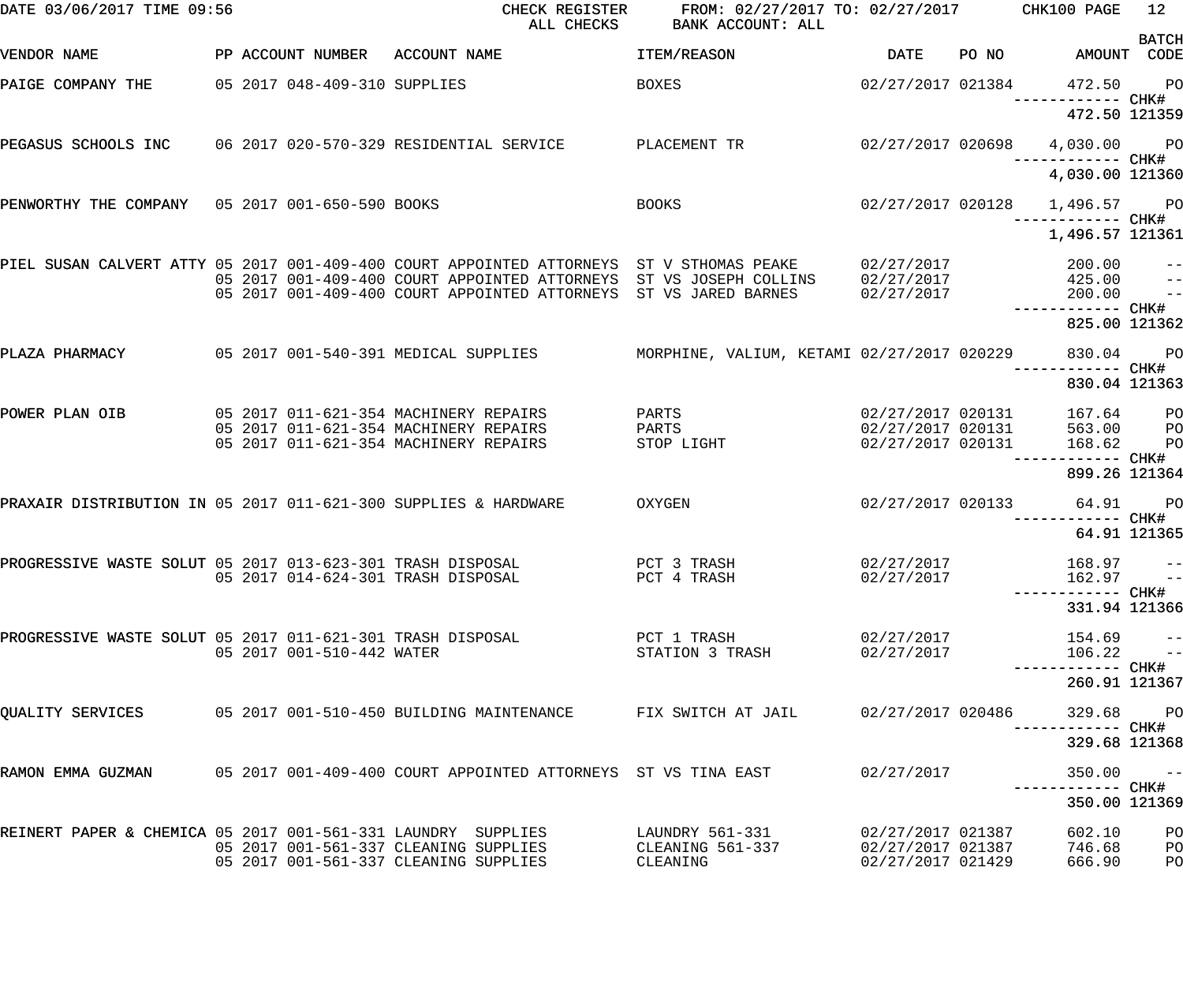| DATE 03/06/2017 TIME 09:56                                      |                              | CHECK REGISTER<br>ALL CHECKS                                                                                                                                   | FROM: 02/27/2017 TO: 02/27/2017<br>BANK ACCOUNT: ALL |                                                             |       | CHK100 PAGE                       | 12                                     |
|-----------------------------------------------------------------|------------------------------|----------------------------------------------------------------------------------------------------------------------------------------------------------------|------------------------------------------------------|-------------------------------------------------------------|-------|-----------------------------------|----------------------------------------|
| VENDOR NAME                                                     | PP ACCOUNT NUMBER            | ACCOUNT NAME                                                                                                                                                   | ITEM/REASON                                          | <b>DATE</b>                                                 | PO NO | AMOUNT CODE                       | <b>BATCH</b>                           |
| PAIGE COMPANY THE                                               | 05 2017 048-409-310 SUPPLIES |                                                                                                                                                                | <b>BOXES</b>                                         | 02/27/2017 021384                                           |       | 472.50                            | <b>PO</b>                              |
|                                                                 |                              |                                                                                                                                                                |                                                      |                                                             |       | 472.50 121359                     |                                        |
| PEGASUS SCHOOLS INC 06 2017 020-570-329 RESIDENTIAL SERVICE     |                              |                                                                                                                                                                | PLACEMENT TR                                         | 02/27/2017 020698                                           |       | 4,030.00 PO                       |                                        |
|                                                                 |                              |                                                                                                                                                                |                                                      |                                                             |       | 4,030.00 121360                   |                                        |
| PENWORTHY THE COMPANY 05 2017 001-650-590 BOOKS                 |                              |                                                                                                                                                                | <b>BOOKS</b>                                         | 02/27/2017 020128                                           |       | 1,496.57 PO<br>—————————— CHK#    |                                        |
|                                                                 |                              |                                                                                                                                                                |                                                      |                                                             |       | 1,496.57 121361                   |                                        |
|                                                                 |                              | PIEL SUSAN CALVERT ATTY 05 2017 001-409-400 COURT APPOINTED ATTORNEYS ST V STHOMAS PEAKE<br>05 2017 001-409-400 COURT APPOINTED ATTORNEYS ST VS JOSEPH COLLINS |                                                      | 02/27/2017<br>02/27/2017                                    |       | 200.00<br>425.00                  | $\qquad \qquad -$<br>$\qquad \qquad -$ |
|                                                                 |                              | 05 2017 001-409-400 COURT APPOINTED ATTORNEYS ST VS JARED BARNES                                                                                               |                                                      | 02/27/2017                                                  |       | 200.00                            | $ -$                                   |
|                                                                 |                              |                                                                                                                                                                |                                                      |                                                             |       | 825.00 121362                     |                                        |
| PLAZA PHARMACY                                                  |                              | 05 2017 001-540-391 MEDICAL SUPPLIES                                                                                                                           | MORPHINE, VALIUM, KETAMI 02/27/2017 020229           |                                                             |       | 830.04                            | $P$ O                                  |
|                                                                 |                              |                                                                                                                                                                |                                                      |                                                             |       | ----- CHK#<br>830.04 121363       |                                        |
| POWER PLAN OIB                                                  |                              | 05 2017 011-621-354 MACHINERY REPAIRS                                                                                                                          | PARTS                                                | 02/27/2017 020131                                           |       | 167.64                            | PО                                     |
|                                                                 |                              | 05 2017 011-621-354 MACHINERY REPAIRS<br>05 2017 011-621-354 MACHINERY REPAIRS                                                                                 | PARTS<br>STOP LIGHT                                  | 02/27/2017 020131<br>02/27/2017 020131                      |       | 563.00<br>168.62                  | P <sub>O</sub><br>PO                   |
|                                                                 |                              |                                                                                                                                                                |                                                      |                                                             |       | ----- CHK#<br>899.26 121364       |                                        |
| PRAXAIR DISTRIBUTION IN 05 2017 011-621-300 SUPPLIES & HARDWARE |                              |                                                                                                                                                                | OXYGEN                                               | 02/27/2017 020133                                           |       | 64.91<br>------ CHK#              | <b>PO</b>                              |
|                                                                 |                              |                                                                                                                                                                |                                                      |                                                             |       | 64.91 121365                      |                                        |
| PROGRESSIVE WASTE SOLUT 05 2017 013-623-301 TRASH DISPOSAL      |                              | 05 2017 014-624-301 TRASH DISPOSAL                                                                                                                             | PCT 3 TRASH<br>PCT 4 TRASH                           | 02/27/2017<br>02/27/2017                                    |       | 168.97<br>162.97                  | $ -$<br>$\sim$ $ -$                    |
|                                                                 |                              |                                                                                                                                                                |                                                      |                                                             |       | 331.94 121366                     |                                        |
|                                                                 |                              |                                                                                                                                                                |                                                      |                                                             |       |                                   |                                        |
| PROGRESSIVE WASTE SOLUT 05 2017 011-621-301 TRASH DISPOSAL      | 05 2017 001-510-442 WATER    |                                                                                                                                                                | PCT 1 TRASH<br>STATION 3 TRASH                       | 02/27/2017<br>02/27/2017                                    |       | 154.69<br>106.22                  | $- -$<br>$\qquad \qquad -$             |
|                                                                 |                              |                                                                                                                                                                |                                                      |                                                             |       | ----------- CHK#<br>260.91 121367 |                                        |
| <b>OUALITY SERVICES</b>                                         |                              | 05 2017 001-510-450 BUILDING MAINTENANCE                                                                                                                       | FIX SWITCH AT JAIL                                   | 02/27/2017 020486                                           |       | 329.68<br>----------- CHK#        | <b>PO</b>                              |
|                                                                 |                              |                                                                                                                                                                |                                                      |                                                             |       | 329.68 121368                     |                                        |
|                                                                 |                              | RAMON EMMA GUZMAN       05 2017 001-409-400 COURT APPOINTED ATTORNEYS  ST VS TINA EAST                                                                         |                                                      | 02/27/2017                                                  |       | 350.00<br>----------- CHK#        | $ -$                                   |
|                                                                 |                              |                                                                                                                                                                |                                                      |                                                             |       | 350.00 121369                     |                                        |
| REINERT PAPER & CHEMICA 05 2017 001-561-331 LAUNDRY SUPPLIES    |                              | 05 2017 001-561-337 CLEANING SUPPLIES<br>05 2017 001-561-337 CLEANING SUPPLIES                                                                                 | LAUNDRY 561-331<br>CLEANING 561-337<br>CLEANING      | 02/27/2017 021387<br>02/27/2017 021387<br>02/27/2017 021429 |       | 602.10<br>746.68<br>666.90        | PO<br>PO<br>PO                         |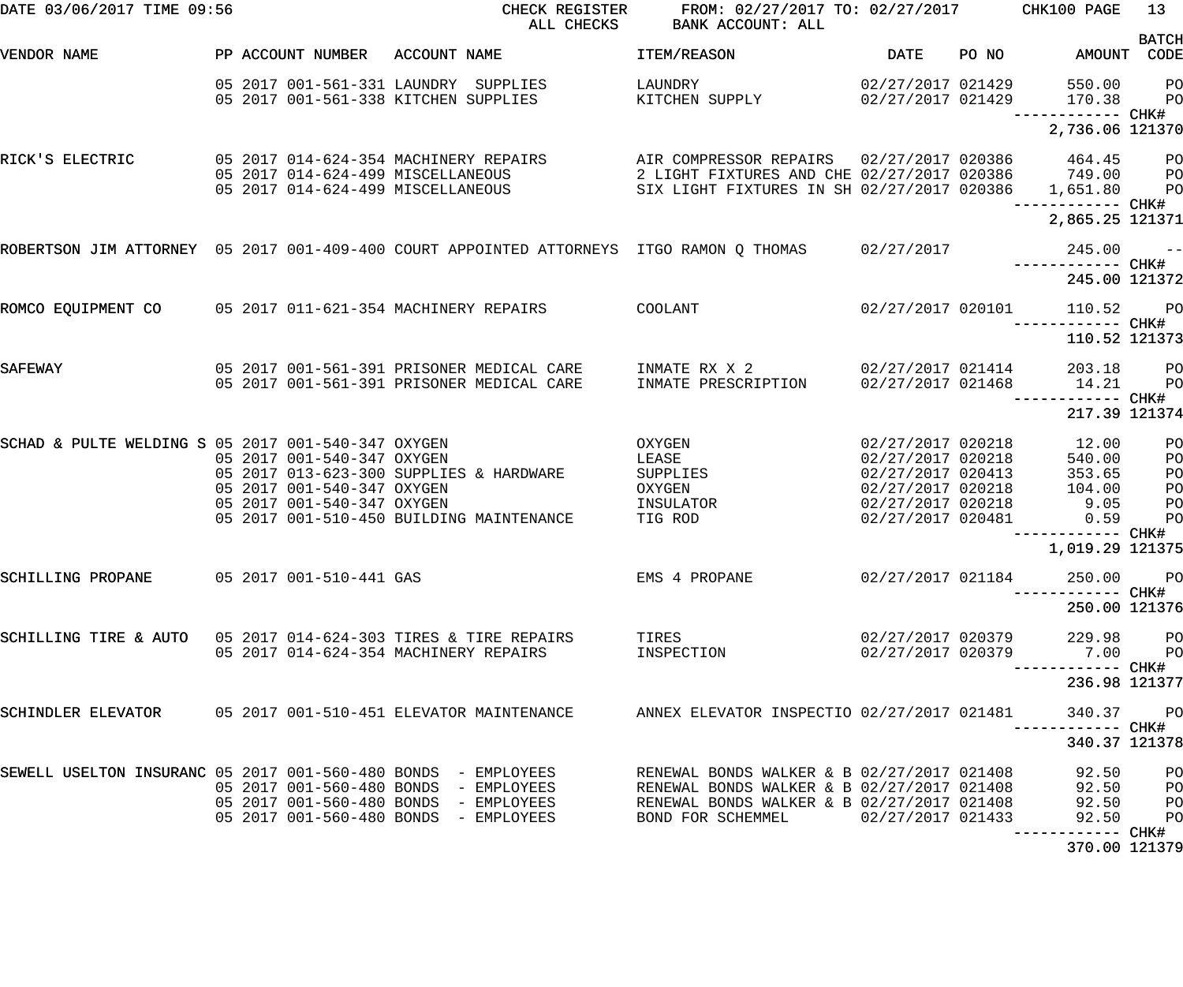| DATE 03/06/2017 TIME 09:56                                     |                                                                                        | CHECK REGISTER<br>ALL CHECKS                                                                        | FROM: 02/27/2017 TO: 02/27/2017 CHK100 PAGE<br>BANK ACCOUNT: ALL                                        |                                                                                                                            |       |                                                     | 13                               |
|----------------------------------------------------------------|----------------------------------------------------------------------------------------|-----------------------------------------------------------------------------------------------------|---------------------------------------------------------------------------------------------------------|----------------------------------------------------------------------------------------------------------------------------|-------|-----------------------------------------------------|----------------------------------|
| VENDOR NAME                                                    | PP ACCOUNT NUMBER                                                                      | ACCOUNT NAME                                                                                        | ITEM/REASON                                                                                             | DATE                                                                                                                       | PO NO | AMOUNT CODE                                         | <b>BATCH</b>                     |
|                                                                | 05 2017 001-561-331 LAUNDRY SUPPLIES<br>05 2017 001-561-338 KITCHEN SUPPLIES           |                                                                                                     | LAUNDRY<br>KITCHEN SUPPLY                                                                               | 02/27/2017 021429<br>02/27/2017 021429                                                                                     |       | 550.00<br>170.38                                    | P <sub>O</sub><br>P <sub>O</sub> |
|                                                                |                                                                                        |                                                                                                     |                                                                                                         |                                                                                                                            |       | 2,736.06 121370                                     |                                  |
| RICK'S ELECTRIC                                                | 05 2017 014-624-354 MACHINERY REPAIRS<br>05 2017 014-624-499 MISCELLANEOUS             |                                                                                                     | AIR COMPRESSOR REPAIRS  02/27/2017  020386  464.45<br>2 LIGHT FIXTURES AND CHE 02/27/2017 020386 749.00 |                                                                                                                            |       |                                                     | P <sub>O</sub><br>PO             |
|                                                                |                                                                                        | 05 2017 014-624-499 MISCELLANEOUS                                                                   | SIX LIGHT FIXTURES IN SH 02/27/2017 020386 1,651.80                                                     |                                                                                                                            |       | —————————— CHK#                                     | PO                               |
|                                                                |                                                                                        |                                                                                                     |                                                                                                         |                                                                                                                            |       | 2,865.25 121371                                     |                                  |
|                                                                |                                                                                        | ROBERTSON JIM ATTORNEY 05 2017 001-409-400 COURT APPOINTED ATTORNEYS ITGO RAMON Q THOMAS 02/27/2017 |                                                                                                         |                                                                                                                            |       | $245.00 - -$                                        |                                  |
|                                                                |                                                                                        |                                                                                                     |                                                                                                         |                                                                                                                            |       | 245.00 121372                                       |                                  |
| ROMCO EQUIPMENT CO 05 2017 011-621-354 MACHINERY REPAIRS       |                                                                                        |                                                                                                     | COOLANT                                                                                                 | 02/27/2017 020101                                                                                                          |       | 110.52                                              | <b>PO</b>                        |
|                                                                |                                                                                        |                                                                                                     |                                                                                                         |                                                                                                                            |       | 110.52 121373                                       |                                  |
| SAFEWAY                                                        |                                                                                        | 05 2017 001-561-391 PRISONER MEDICAL CARE<br>05 2017 001-561-391 PRISONER MEDICAL CARE              | INMATE RX X 2<br>INMATE PRESCRIPTION                                                                    | 02/27/2017 021414<br>02/27/2017 021468                                                                                     |       | 203.18<br>14.21                                     | P <sub>O</sub><br>PO             |
|                                                                |                                                                                        |                                                                                                     |                                                                                                         |                                                                                                                            |       | ------------ CHK#<br>217.39 121374                  |                                  |
| SCHAD & PULTE WELDING S 05 2017 001-540-347 OXYGEN             | 05 2017 001-540-347 OXYGEN<br>05 2017 001-540-347 OXYGEN<br>05 2017 001-540-347 OXYGEN | 05 2017 013-623-300 SUPPLIES & HARDWARE<br>05 2017 001-510-450 BUILDING MAINTENANCE                 | OXYGEN<br>LEASE<br>SUPPLIES<br>OXYGEN<br>INSULATOR<br>TIG ROD                                           | 02/27/2017 020218<br>02/27/2017 020218<br>02/27/2017 020413<br>02/27/2017 020218<br>02/27/2017 020218<br>02/27/2017 020481 |       | 12.00<br>540.00<br>353.65<br>104.00<br>9.05<br>0.59 | PO<br>PO<br>PO<br>PO<br>PO<br>PO |
|                                                                |                                                                                        |                                                                                                     |                                                                                                         |                                                                                                                            |       | ------------ CHK#<br>1,019.29 121375                |                                  |
| SCHILLING PROPANE 05 2017 001-510-441 GAS                      |                                                                                        |                                                                                                     | EMS 4 PROPANE                                                                                           | 02/27/2017 021184                                                                                                          |       | 250.00 PO                                           |                                  |
|                                                                |                                                                                        |                                                                                                     |                                                                                                         |                                                                                                                            |       | 250.00 121376                                       |                                  |
| SCHILLING TIRE & AUTO 05 2017 014-624-303 TIRES & TIRE REPAIRS | 05 2017 014-624-354 MACHINERY REPAIRS                                                  |                                                                                                     | TIRES<br>INSPECTION                                                                                     | 02/27/2017 020379<br>02/27/2017 020379                                                                                     |       | 229.98 PO<br>7.00 PO                                |                                  |
|                                                                |                                                                                        |                                                                                                     |                                                                                                         |                                                                                                                            |       | 236.98 121377                                       |                                  |
|                                                                |                                                                                        |                                                                                                     | ANNEX ELEVATOR INSPECTIO 02/27/2017 021481                                                              |                                                                                                                            |       | 340.37<br>----------- CHK#                          | <b>PO</b>                        |
|                                                                |                                                                                        |                                                                                                     |                                                                                                         |                                                                                                                            |       | 340.37 121378                                       |                                  |
| SEWELL USELTON INSURANC 05 2017 001-560-480 BONDS - EMPLOYEES  |                                                                                        | 05 2017 001-560-480 BONDS - EMPLOYEES                                                               | RENEWAL BONDS WALKER & B 02/27/2017 021408<br>RENEWAL BONDS WALKER & B 02/27/2017 021408                |                                                                                                                            |       | 92.50<br>92.50                                      | PO<br>PO                         |
|                                                                |                                                                                        | 05 2017 001-560-480 BONDS - EMPLOYEES                                                               | RENEWAL BONDS WALKER & B 02/27/2017 021408                                                              |                                                                                                                            |       | 92.50                                               | P <sub>O</sub>                   |
|                                                                |                                                                                        | 05 2017 001-560-480 BONDS - EMPLOYEES                                                               | BOND FOR SCHEMMEL 02/27/2017 021433                                                                     |                                                                                                                            |       | 92.50<br>--------- CHK#                             | P <sub>O</sub>                   |
|                                                                |                                                                                        |                                                                                                     |                                                                                                         |                                                                                                                            |       | 370.00 121379                                       |                                  |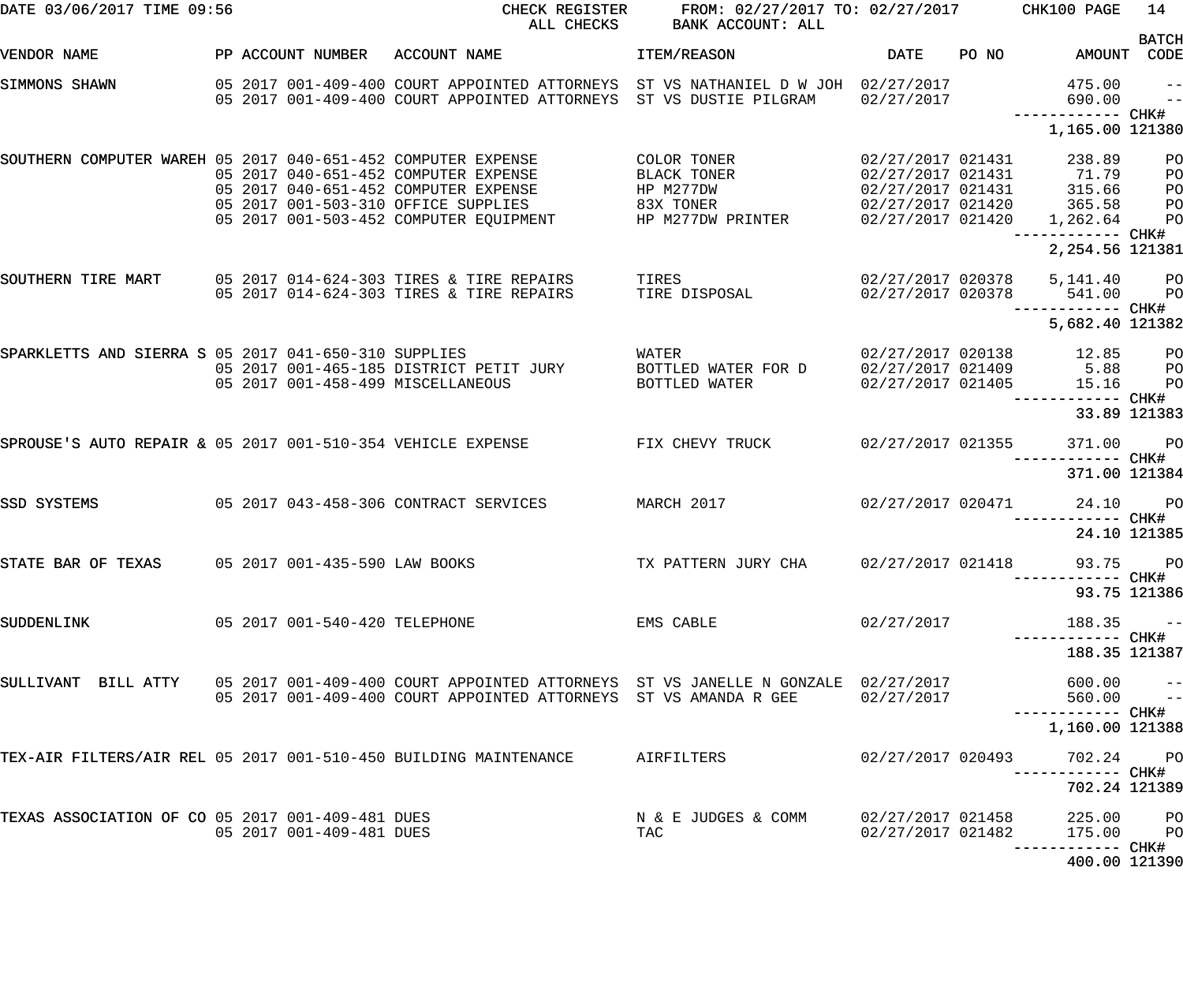| DATE 03/06/2017 TIME 09:56                                       |                               | CHECK REGISTER<br>ALL CHECKS                                                                                                                                             | FROM: 02/27/2017 TO: 02/27/2017 CHK100 PAGE<br>BANK ACCOUNT: ALL          |                                        |       |                                                                                                                                 | 14                               |
|------------------------------------------------------------------|-------------------------------|--------------------------------------------------------------------------------------------------------------------------------------------------------------------------|---------------------------------------------------------------------------|----------------------------------------|-------|---------------------------------------------------------------------------------------------------------------------------------|----------------------------------|
| VENDOR NAME                                                      | PP ACCOUNT NUMBER             | ACCOUNT NAME                                                                                                                                                             | ITEM/REASON                                                               | DATE                                   | PO NO | AMOUNT CODE                                                                                                                     | <b>BATCH</b>                     |
| SIMMONS SHAWN                                                    |                               | 05 2017 001-409-400 COURT APPOINTED ATTORNEYS ST VS NATHANIEL D W JOH 02/27/2017<br>05 2017 001-409-400 COURT APPOINTED ATTORNEYS ST VS DUSTIE PILGRAM                   |                                                                           | 02/27/2017                             |       | 475.00<br>690.00<br>----------- CHK#                                                                                            | $\qquad -$<br>$ -$               |
|                                                                  |                               |                                                                                                                                                                          |                                                                           |                                        |       | 1,165.00 121380                                                                                                                 |                                  |
| SOUTHERN COMPUTER WAREH 05 2017 040-651-452 COMPUTER EXPENSE     |                               | 05 2017 040-651-452 COMPUTER EXPENSE<br>05 2017 040-651-452 COMPUTER EXPENSE<br>05 2017 001-503-310 OFFICE SUPPLIES<br>05 2017 001-503-452 COMPUTER EQUIPMENT            | COLOR TONER<br>BLACK TONER<br>HP M277DW<br>83X TONER<br>HP M277DW PRINTER | 02/27/2017 021431<br>02/27/2017 021420 |       | 238.89<br>$02/27/2017$ $021431$ $02/27/2017$ $021431$ $0315.66$<br>$02/27/2017$ $021430$ $027$<br>1,262.64<br>------------ CHK# | PO<br>PO<br>PO<br>PO<br>PO       |
|                                                                  |                               |                                                                                                                                                                          |                                                                           |                                        |       | 2,254.56 121381                                                                                                                 |                                  |
| SOUTHERN TIRE MART 05 2017 014-624-303 TIRES & TIRE REPAIRS      |                               | 05 2017 014-624-303 TIRES & TIRE REPAIRS                                                                                                                                 | TIRES<br>TIRE DISPOSAL                                                    | 02/27/2017 020378                      |       | 02/27/2017 020378 5,141.40<br>541.00<br>—————————— CHK#                                                                         | P <sub>O</sub><br>P <sub>O</sub> |
|                                                                  |                               |                                                                                                                                                                          |                                                                           |                                        |       | 5,682.40 121382                                                                                                                 |                                  |
| SPARKLETTS AND SIERRA S 05 2017 041-650-310 SUPPLIES             |                               | 05 2017 001-465-185 DISTRICT PETIT JURY<br>05 2017 001-458-499 MISCELLANEOUS                                                                                             | WATER<br>BOTTLED WATER FOR D<br>BOTTLED WATER                             | 02/27/2017 021409<br>02/27/2017 021405 |       | 02/27/2017 020138 12.85<br>5.88<br>15.16                                                                                        | $P$ O<br>P <sub>O</sub><br>PO    |
|                                                                  |                               |                                                                                                                                                                          |                                                                           |                                        |       | ------ CHK#                                                                                                                     | 33.89 121383                     |
| SPROUSE'S AUTO REPAIR & 05 2017 001-510-354 VEHICLE EXPENSE      |                               |                                                                                                                                                                          | FIX CHEVY TRUCK                                                           | 02/27/2017 021355                      |       | 371.00<br>------------ CHK#                                                                                                     | <b>PO</b>                        |
|                                                                  |                               |                                                                                                                                                                          |                                                                           |                                        |       | 371.00 121384                                                                                                                   |                                  |
| SSD SYSTEMS                                                      |                               | 05 2017 043-458-306 CONTRACT SERVICES MARCH 2017                                                                                                                         |                                                                           | 02/27/2017 020471                      |       | 24.10<br>------- CHK#                                                                                                           | <b>PO</b><br>24.10 121385        |
| STATE BAR OF TEXAS 05 2017 001-435-590 LAW BOOKS                 |                               |                                                                                                                                                                          | TX PATTERN JURY CHA                                                       | 02/27/2017 021418                      |       | 93.75 PO                                                                                                                        |                                  |
|                                                                  |                               |                                                                                                                                                                          |                                                                           |                                        |       | -----------         CHK#<br>93.75 121386                                                                                        |                                  |
| SUDDENLINK                                                       | 05 2017 001-540-420 TELEPHONE |                                                                                                                                                                          | EMS CABLE                                                                 | 02/27/2017                             |       | 188.35                                                                                                                          | $\sim$ $ -$                      |
|                                                                  |                               |                                                                                                                                                                          |                                                                           |                                        |       | 188.35 121387                                                                                                                   |                                  |
|                                                                  |                               | SULLIVANT BILL ATTY 05 2017 001-409-400 COURT APPOINTED ATTORNEYS ST VS JANELLE N GONZALE 02/27/2017<br>05 2017 001-409-400 COURT APPOINTED ATTORNEYS ST VS AMANDA R GEE |                                                                           | 02/27/2017                             |       | 600.00 --<br>$560.00 - -$                                                                                                       |                                  |
|                                                                  |                               |                                                                                                                                                                          |                                                                           |                                        |       | 1,160.00 121388                                                                                                                 |                                  |
| TEX-AIR FILTERS/AIR REL 05 2017 001-510-450 BUILDING MAINTENANCE |                               |                                                                                                                                                                          | AIRFILTERS                                                                | 02/27/2017 020493                      |       | 702.24 PO                                                                                                                       |                                  |
|                                                                  |                               |                                                                                                                                                                          |                                                                           |                                        |       | 702.24 121389                                                                                                                   |                                  |
| TEXAS ASSOCIATION OF CO 05 2017 001-409-481 DUES                 | 05 2017 001-409-481 DUES      |                                                                                                                                                                          | N & E JUDGES & COMM<br>TAC                                                | 02/27/2017 021458<br>02/27/2017 021482 |       | 225.00 PO<br>175.00                                                                                                             | <b>PO</b>                        |
|                                                                  |                               |                                                                                                                                                                          |                                                                           |                                        |       | 400.00 121390                                                                                                                   |                                  |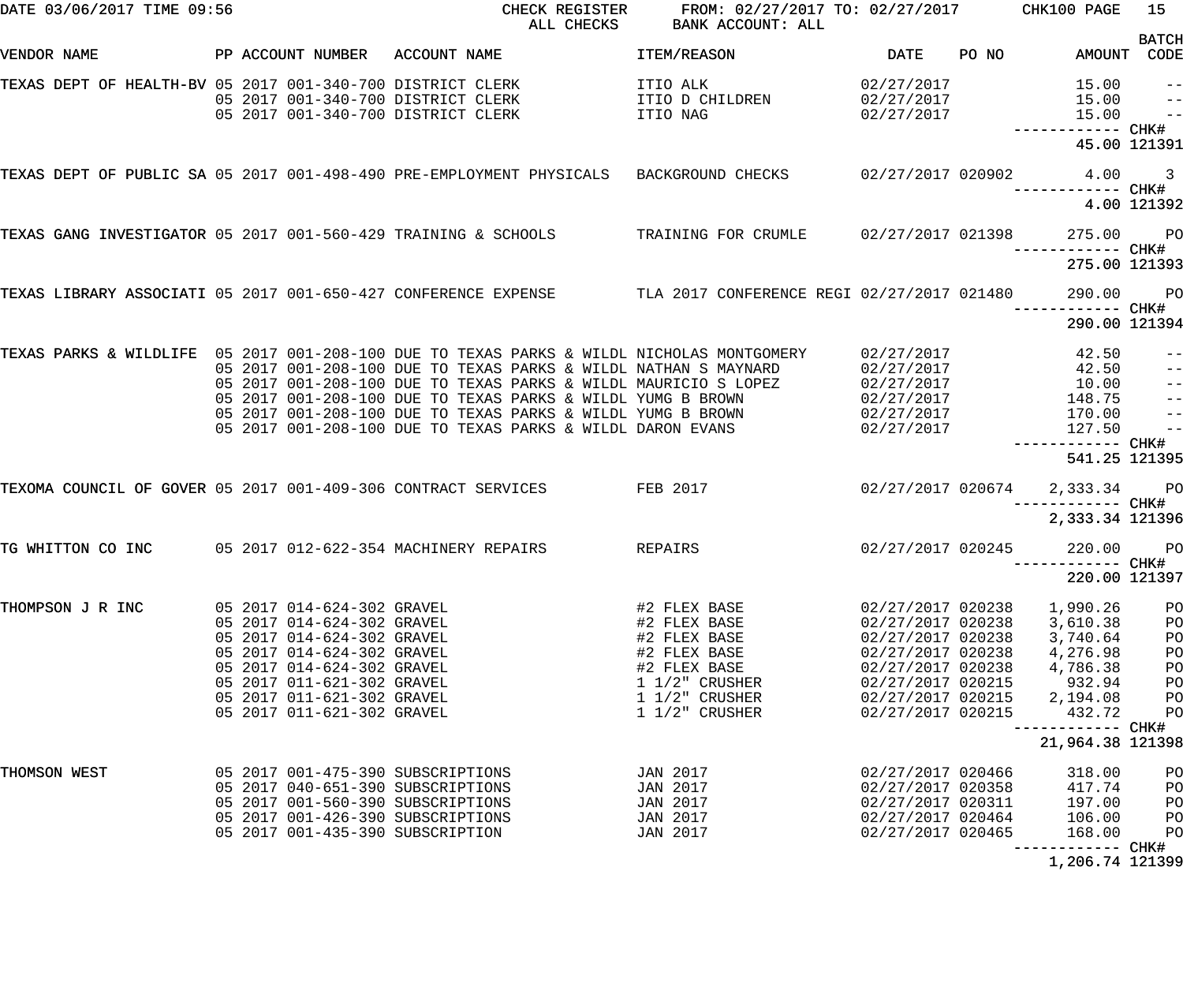| DATE 03/06/2017 TIME 09:56                                     |  |                            | CHECK REGISTER<br>ALL CHECKS                                                                              | FROM: 02/27/2017 TO: 02/27/2017 CHK100 PAGE<br>BANK ACCOUNT: ALL |                     |       |                                     | 15                      |
|----------------------------------------------------------------|--|----------------------------|-----------------------------------------------------------------------------------------------------------|------------------------------------------------------------------|---------------------|-------|-------------------------------------|-------------------------|
| VENDOR NAME                                                    |  | PP ACCOUNT NUMBER          | ACCOUNT NAME                                                                                              | ITEM/REASON                                                      | <b>DATE</b>         | PO NO | AMOUNT                              | <b>BATCH</b><br>CODE    |
|                                                                |  |                            |                                                                                                           |                                                                  |                     |       |                                     |                         |
| TEXAS DEPT OF HEALTH-BV 05 2017 001-340-700 DISTRICT CLERK     |  |                            |                                                                                                           | ITIO ALK                                                         | 02/27/2017          |       | 15.00                               | $- -$                   |
|                                                                |  |                            | 05 2017 001-340-700 DISTRICT CLERK                                                                        | ITIO D CHILDREN                                                  | 02/27/2017          |       | 15.00                               | $\qquad \qquad -$       |
|                                                                |  |                            | 05 2017 001-340-700 DISTRICT CLERK                                                                        | ITIO NAG                                                         | 02/27/2017          |       | 15.00                               | $\frac{1}{2}$           |
|                                                                |  |                            |                                                                                                           |                                                                  |                     |       | ------------ CHK#<br>45.00 121391   |                         |
|                                                                |  |                            | TEXAS DEPT OF PUBLIC SA 05 2017 001-498-490 PRE-EMPLOYMENT PHYSICALS BACKGROUND CHECKS                    |                                                                  | $02/27/2017$ 020902 |       | 4.00                                | $\overline{\mathbf{3}}$ |
|                                                                |  |                            |                                                                                                           |                                                                  |                     |       |                                     |                         |
|                                                                |  |                            |                                                                                                           |                                                                  |                     |       |                                     | 4.00 121392             |
| TEXAS GANG INVESTIGATOR 05 2017 001-560-429 TRAINING & SCHOOLS |  |                            |                                                                                                           | TRAINING FOR CRUMLE                                              | 02/27/2017 021398   |       | 275.00                              | <b>PO</b>               |
|                                                                |  |                            |                                                                                                           |                                                                  |                     |       |                                     |                         |
|                                                                |  |                            |                                                                                                           |                                                                  |                     |       | 275.00 121393                       |                         |
|                                                                |  |                            | TEXAS LIBRARY ASSOCIATI 05 2017 001-650-427 CONFERENCE EXPENSE TLA 2017 CONFERENCE REGI 02/27/2017 021480 |                                                                  |                     |       | 290.00                              | $P$ O                   |
|                                                                |  |                            |                                                                                                           |                                                                  |                     |       |                                     |                         |
|                                                                |  |                            |                                                                                                           |                                                                  |                     |       | 290.00 121394                       |                         |
|                                                                |  |                            | TEXAS PARKS & WILDLIFE 05 2017 001-208-100 DUE TO TEXAS PARKS & WILDL NICHOLAS MONTGOMERY                 |                                                                  | 02/27/2017          |       | 42.50                               | $- -$                   |
|                                                                |  |                            | 05 2017 001-208-100 DUE TO TEXAS PARKS & WILDL NATHAN S MAYNARD                                           |                                                                  | 02/27/2017          |       | 42.50                               | $\qquad \qquad -$       |
|                                                                |  |                            | 05 2017 001-208-100 DUE TO TEXAS PARKS & WILDL MAURICIO S LOPEZ                                           |                                                                  | 02/27/2017          |       | 10.00                               | $\frac{1}{2}$           |
|                                                                |  |                            | 05 2017 001-208-100 DUE TO TEXAS PARKS & WILDL YUMG B BROWN                                               |                                                                  | 02/27/2017          |       | 148.75                              | $\qquad \qquad -$       |
|                                                                |  |                            | 05 2017 001-208-100 DUE TO TEXAS PARKS & WILDL YUMG B BROWN                                               |                                                                  | 02/27/2017          |       | 170.00                              | $\frac{1}{2}$           |
|                                                                |  |                            | 05 2017 001-208-100 DUE TO TEXAS PARKS & WILDL DARON EVANS                                                |                                                                  | 02/27/2017          |       | 127.50                              | $ -$                    |
|                                                                |  |                            |                                                                                                           |                                                                  |                     |       | ----------- CHK#<br>541.25 121395   |                         |
|                                                                |  |                            |                                                                                                           |                                                                  |                     |       |                                     |                         |
| TEXOMA COUNCIL OF GOVER 05 2017 001-409-306 CONTRACT SERVICES  |  |                            |                                                                                                           | FEB 2017                                                         | 02/27/2017 020674   |       | 2,333.34                            | <b>PO</b>               |
|                                                                |  |                            |                                                                                                           |                                                                  |                     |       | ------------ CHK#                   |                         |
|                                                                |  |                            |                                                                                                           |                                                                  |                     |       | 2,333.34 121396                     |                         |
| TG WHITTON CO INC                                              |  |                            | 05 2017 012-622-354 MACHINERY REPAIRS                                                                     | REPAIRS                                                          | 02/27/2017 020245   |       | 220.00                              | P <sub>O</sub>          |
|                                                                |  |                            |                                                                                                           |                                                                  |                     |       |                                     |                         |
|                                                                |  |                            |                                                                                                           |                                                                  |                     |       | 220.00 121397                       |                         |
| THOMPSON J R INC                                               |  | 05 2017 014-624-302 GRAVEL |                                                                                                           | #2 FLEX BASE                                                     | 02/27/2017 020238   |       | 1,990.26                            | PO                      |
|                                                                |  | 05 2017 014-624-302 GRAVEL |                                                                                                           | #2 FLEX BASE                                                     | 02/27/2017 020238   |       | 3,610.38                            | PO                      |
|                                                                |  | 05 2017 014-624-302 GRAVEL |                                                                                                           | #2 FLEX BASE                                                     | 02/27/2017 020238   |       | 3,740.64                            | PO                      |
|                                                                |  | 05 2017 014-624-302 GRAVEL |                                                                                                           | #2 FLEX BASE                                                     | 02/27/2017 020238   |       | 4,276.98                            | PO                      |
|                                                                |  | 05 2017 014-624-302 GRAVEL |                                                                                                           | #2 FLEX BASE                                                     | 02/27/2017 020238   |       | 4,786.38                            | PO                      |
|                                                                |  | 05 2017 011-621-302 GRAVEL |                                                                                                           | $1\frac{1}{2}$ CRUSHER                                           | 02/27/2017 020215   |       | 932.94                              | PO                      |
|                                                                |  | 05 2017 011-621-302 GRAVEL |                                                                                                           | $1\frac{1}{2}$ CRUSHER                                           | 02/27/2017 020215   |       | 2,194.08                            | PO                      |
|                                                                |  | 05 2017 011-621-302 GRAVEL |                                                                                                           | $1\ 1/2$ " CRUSHER                                               | 02/27/2017 020215   |       | 432.72                              | PO                      |
|                                                                |  |                            |                                                                                                           |                                                                  |                     |       |                                     |                         |
|                                                                |  |                            |                                                                                                           |                                                                  |                     |       | 21,964.38 121398                    |                         |
| THOMSON WEST                                                   |  |                            | 05 2017 001-475-390 SUBSCRIPTIONS                                                                         | JAN 2017                                                         | 02/27/2017 020466   |       | 318.00                              | PO                      |
|                                                                |  |                            | 05 2017 040-651-390 SUBSCRIPTIONS                                                                         | JAN 2017                                                         | 02/27/2017 020358   |       | 417.74                              | PO                      |
|                                                                |  |                            | 05 2017 001-560-390 SUBSCRIPTIONS                                                                         | JAN 2017                                                         | 02/27/2017 020311   |       | 197.00                              | PO                      |
|                                                                |  |                            | 05 2017 001-426-390 SUBSCRIPTIONS                                                                         | JAN 2017                                                         | 02/27/2017 020464   |       | 106.00                              | PO                      |
|                                                                |  |                            | 05 2017 001-435-390 SUBSCRIPTION                                                                          | JAN 2017                                                         | 02/27/2017 020465   |       | 168.00                              | PO                      |
|                                                                |  |                            |                                                                                                           |                                                                  |                     |       | --------- CHK#<br>$1.206.71.121200$ |                         |

1,206.74 121399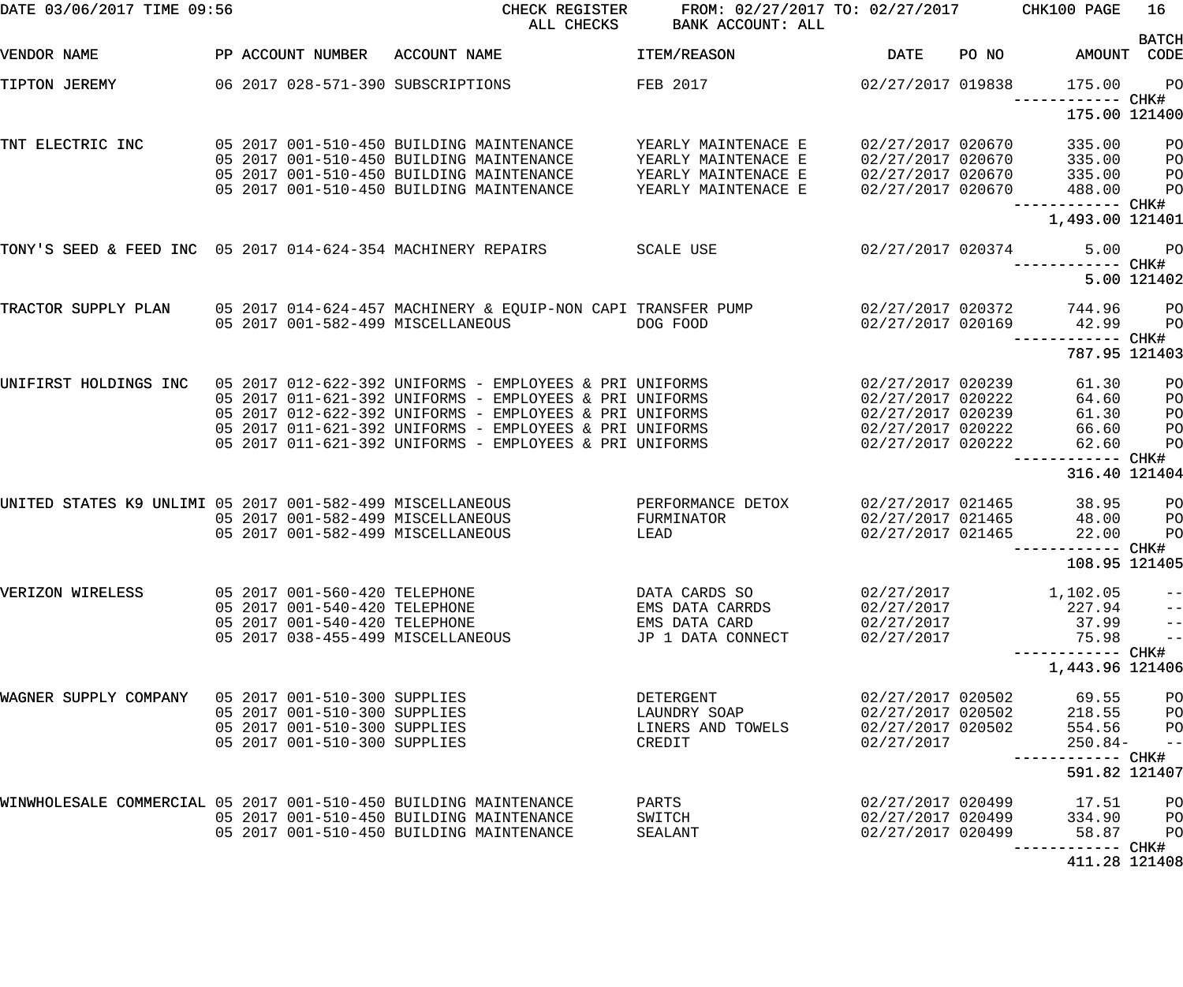| DATE 03/06/2017 TIME 09:56                                       |                                   | CHECK REGISTER<br>ALL CHECKS                                                         | FROM: 02/27/2017 TO: 02/27/2017 CHK100 PAGE<br>BANK ACCOUNT: ALL |                                        |       |                               | 16                   |
|------------------------------------------------------------------|-----------------------------------|--------------------------------------------------------------------------------------|------------------------------------------------------------------|----------------------------------------|-------|-------------------------------|----------------------|
| VENDOR NAME                                                      | PP ACCOUNT NUMBER                 | ACCOUNT NAME                                                                         | ITEM/REASON                                                      | <b>DATE</b>                            | PO NO | AMOUNT CODE                   | <b>BATCH</b>         |
| TIPTON JEREMY                                                    | 06 2017 028-571-390 SUBSCRIPTIONS |                                                                                      | FEB 2017                                                         | 02/27/2017 019838                      |       | 175.00                        | PO                   |
|                                                                  |                                   |                                                                                      |                                                                  |                                        |       | 175.00 121400                 |                      |
| TNT ELECTRIC INC                                                 |                                   | 05 2017 001-510-450 BUILDING MAINTENANCE<br>05 2017 001-510-450 BUILDING MAINTENANCE | YEARLY MAINTENACE E<br>YEARLY MAINTENACE E                       | 02/27/2017 020670<br>02/27/2017 020670 |       | 335.00<br>335.00              | PO<br>P <sub>O</sub> |
|                                                                  |                                   | 05 2017 001-510-450 BUILDING MAINTENANCE                                             | YEARLY MAINTENACE E                                              | 02/27/2017 020670                      |       | 335.00                        | P <sub>O</sub>       |
|                                                                  |                                   | 05 2017 001-510-450 BUILDING MAINTENANCE                                             | YEARLY MAINTENACE E                                              | 02/27/2017 020670                      |       | 488.00                        | PO                   |
|                                                                  |                                   |                                                                                      |                                                                  |                                        |       |                               |                      |
|                                                                  |                                   |                                                                                      |                                                                  |                                        |       | 1,493.00 121401               |                      |
| TONY'S SEED & FEED INC 05 2017 014-624-354 MACHINERY REPAIRS     |                                   |                                                                                      | SCALE USE                                                        | 02/27/2017 020374                      |       | 5.00                          | <b>PO</b>            |
|                                                                  |                                   |                                                                                      |                                                                  |                                        |       |                               | 5.00 121402          |
| TRACTOR SUPPLY PLAN                                              |                                   | 05 2017 014-624-457 MACHINERY & EQUIP-NON CAPI TRANSFER PUMP                         |                                                                  | 02/27/2017 020372                      |       | 744.96                        | P <sub>O</sub>       |
|                                                                  | 05 2017 001-582-499 MISCELLANEOUS |                                                                                      | DOG FOOD                                                         | 02/27/2017 020169                      |       | 42.99                         | P <sub>O</sub>       |
|                                                                  |                                   |                                                                                      |                                                                  |                                        |       | 787.95 121403                 |                      |
| UNIFIRST HOLDINGS INC                                            |                                   | 05 2017 012-622-392 UNIFORMS - EMPLOYEES & PRI UNIFORMS                              |                                                                  | 02/27/2017 020239                      |       | 61.30                         | PO                   |
|                                                                  |                                   | 05 2017 011-621-392 UNIFORMS - EMPLOYEES & PRI UNIFORMS                              |                                                                  | 02/27/2017 020222                      |       | 64.60                         | PO                   |
|                                                                  |                                   | 05 2017 012-622-392 UNIFORMS - EMPLOYEES & PRI UNIFORMS                              |                                                                  | 02/27/2017 020239                      |       | 61.30                         | PO                   |
|                                                                  |                                   | 05 2017 011-621-392 UNIFORMS - EMPLOYEES & PRI UNIFORMS                              |                                                                  | 02/27/2017 020222                      |       | 66.60                         | PO                   |
|                                                                  |                                   | 05 2017 011-621-392 UNIFORMS - EMPLOYEES & PRI UNIFORMS                              |                                                                  | 02/27/2017 020222                      |       | 62.60                         | PO                   |
|                                                                  |                                   |                                                                                      |                                                                  |                                        |       | ------- CHK#<br>316.40 121404 |                      |
| UNITED STATES K9 UNLIMI 05 2017 001-582-499 MISCELLANEOUS        |                                   |                                                                                      | PERFORMANCE DETOX                                                | 02/27/2017 021465                      |       | 38.95                         | PO                   |
|                                                                  | 05 2017 001-582-499 MISCELLANEOUS |                                                                                      | FURMINATOR                                                       | 02/27/2017 021465                      |       | 48.00                         | PО                   |
|                                                                  | 05 2017 001-582-499 MISCELLANEOUS |                                                                                      | LEAD                                                             | 02/27/2017 021465                      |       | 22.00                         | PO                   |
|                                                                  |                                   |                                                                                      |                                                                  |                                        |       |                               |                      |
|                                                                  |                                   |                                                                                      |                                                                  |                                        |       | 108.95 121405                 |                      |
| VERIZON WIRELESS                                                 | 05 2017 001-560-420 TELEPHONE     |                                                                                      | DATA CARDS SO                                                    | 02/27/2017                             |       | 1,102.05                      | $\qquad \qquad -$    |
|                                                                  | 05 2017 001-540-420 TELEPHONE     |                                                                                      | EMS DATA CARRDS                                                  | 02/27/2017                             |       | 227.94                        | $\qquad \qquad -$    |
|                                                                  | 05 2017 001-540-420 TELEPHONE     |                                                                                      | EMS DATA CARD                                                    | 02/27/2017                             |       | 37.99                         | $\qquad \qquad -$    |
|                                                                  | 05 2017 038-455-499 MISCELLANEOUS |                                                                                      | JP 1 DATA CONNECT                                                | 02/27/2017                             |       | 75.98                         | $ -$                 |
|                                                                  |                                   |                                                                                      |                                                                  |                                        |       | 1,443.96 121406               |                      |
| WAGNER SUPPLY COMPANY 05 2017 001-510-300 SUPPLIES               |                                   |                                                                                      | DETERGENT                                                        | 02/27/2017 020502                      |       | 69.55                         | P <sub>O</sub>       |
|                                                                  | 05 2017 001-510-300 SUPPLIES      |                                                                                      | LAUNDRY SOAP                                                     | 02/27/2017 020502                      |       | 218.55                        | PО                   |
|                                                                  | 05 2017 001-510-300 SUPPLIES      |                                                                                      | LINERS AND TOWELS                                                | 02/27/2017 020502                      |       | 554.56                        | P <sub>O</sub>       |
|                                                                  | 05 2017 001-510-300 SUPPLIES      |                                                                                      | CREDIT                                                           | 02/27/2017                             |       | $250.84-$<br>--------- CHK#   | $\qquad \qquad -$    |
|                                                                  |                                   |                                                                                      |                                                                  |                                        |       | 591.82 121407                 |                      |
| WINWHOLESALE COMMERCIAL 05 2017 001-510-450 BUILDING MAINTENANCE |                                   |                                                                                      | PARTS                                                            | 02/27/2017 020499                      |       | 17.51                         | PО                   |
|                                                                  |                                   | 05 2017 001-510-450 BUILDING MAINTENANCE                                             | SWITCH                                                           | 02/27/2017 020499                      |       | 334.90                        | PО                   |
|                                                                  |                                   | 05 2017 001-510-450 BUILDING MAINTENANCE                                             | SEALANT                                                          | 02/27/2017 020499                      |       | 58.87                         | P <sub>O</sub>       |
|                                                                  |                                   |                                                                                      |                                                                  |                                        |       | ------- CHK#                  |                      |
|                                                                  |                                   |                                                                                      |                                                                  |                                        |       | 411.28 121408                 |                      |